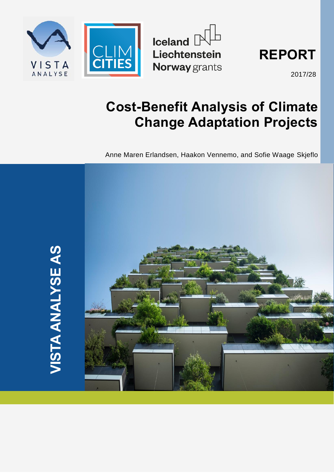





2017/28

# **Cost-Benefit Analysis of Climate Change Adaptation Projects**

Anne Maren Erlandsen, Haakon Vennemo, and Sofie Waage Skjeflo



**VISTA ANALYSE AS VISTA ANALYSE AS**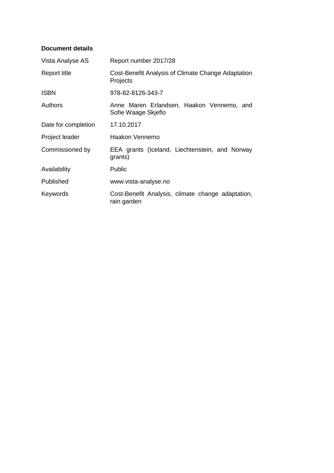### **Document details**

| Vista Analyse AS    | Report number 2017/28                                            |
|---------------------|------------------------------------------------------------------|
| Report title        | Cost-Benefit Analysis of Climate Change Adaptation<br>Projects   |
| <b>ISBN</b>         | 978-82-8126-343-7                                                |
| Authors             | Anne Maren Erlandsen, Haakon Vennemo, and<br>Sofie Waage Skjeflo |
| Date for completion | 17.10.2017                                                       |
| Project leader      | Haakon Vennemo                                                   |
| Commissioned by     | EEA grants (Iceland, Liechtenstein, and Norway<br>grants)        |
| Availability        | <b>Public</b>                                                    |
| Published           | www.vista-analyse.no                                             |
| Keywords            | Cost-Benefit Analysis, climate change adaptation,<br>rain garden |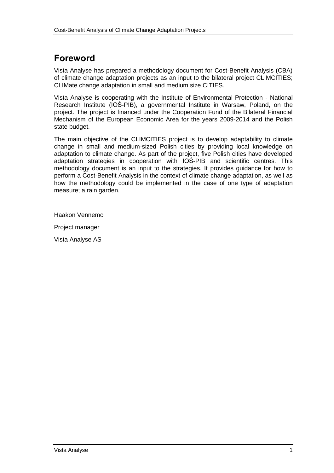# **Foreword**

Vista Analyse has prepared a methodology document for Cost-Benefit Analysis (CBA) of climate change adaptation projects as an input to the bilateral project CLIMCITIES; CLIMate change adaptation in small and medium size CITIES.

Vista Analyse is cooperating with the Institute of Environmental Protection - National Research Institute (IOŚ-PIB), a governmental Institute in Warsaw, Poland, on the project. The project is financed under the Cooperation Fund of the Bilateral Financial Mechanism of the European Economic Area for the years 2009-2014 and the Polish state budget.

The main objective of the CLIMCITIES project is to develop adaptability to climate change in small and medium-sized Polish cities by providing local knowledge on adaptation to climate change. As part of the project, five Polish cities have developed adaptation strategies in cooperation with IOŚ-PIB and scientific centres. This methodology document is an input to the strategies. It provides guidance for how to perform a Cost-Benefit Analysis in the context of climate change adaptation, as well as how the methodology could be implemented in the case of one type of adaptation measure; a rain garden.

Haakon Vennemo

Project manager

Vista Analyse AS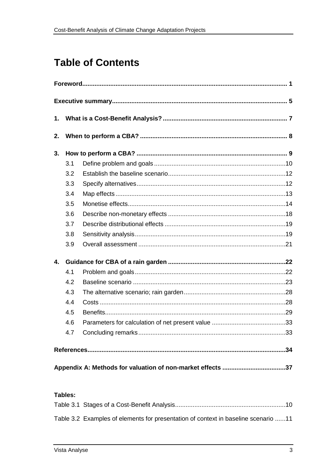# **Table of Contents**

| 1.           |     |                                                            |  |
|--------------|-----|------------------------------------------------------------|--|
| 2.           |     |                                                            |  |
| 3.           |     |                                                            |  |
|              | 3.1 |                                                            |  |
|              | 3.2 |                                                            |  |
|              | 3.3 |                                                            |  |
|              | 3.4 |                                                            |  |
|              | 3.5 |                                                            |  |
|              | 3.6 |                                                            |  |
|              | 3.7 |                                                            |  |
|              | 3.8 |                                                            |  |
|              | 3.9 |                                                            |  |
| $\mathbf{4}$ |     |                                                            |  |
|              | 4.1 |                                                            |  |
|              | 4.2 |                                                            |  |
|              | 4.3 |                                                            |  |
|              | 4.4 |                                                            |  |
|              | 4.5 |                                                            |  |
|              | 4.6 |                                                            |  |
|              | 4.7 |                                                            |  |
|              |     |                                                            |  |
|              |     | Appendix A: Methods for valuation of non-market effects 37 |  |

## Tables:

| Table 3.2 Examples of elements for presentation of context in baseline scenario 11 |  |
|------------------------------------------------------------------------------------|--|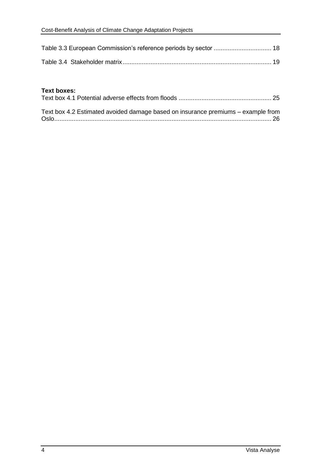#### **Text boxes:**

| Text box 4.2 Estimated avoided damage based on insurance premiums - example from |  |
|----------------------------------------------------------------------------------|--|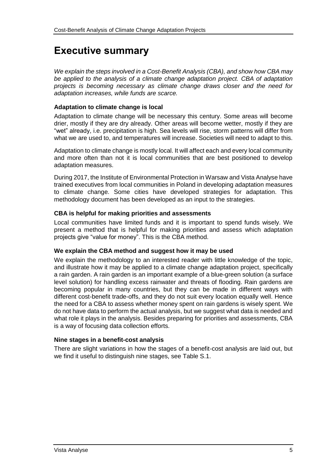# **Executive summary**

*We explain the steps involved in a Cost-Benefit Analysis (CBA), and show how CBA may be applied to the analysis of a climate change adaptation project. CBA of adaptation projects is becoming necessary as climate change draws closer and the need for adaptation increases, while funds are scarce.* 

### **Adaptation to climate change is local**

Adaptation to climate change will be necessary this century. Some areas will become drier, mostly if they are dry already. Other areas will become wetter, mostly if they are "wet" already, i.e. precipitation is high. Sea levels will rise, storm patterns will differ from what we are used to, and temperatures will increase. Societies will need to adapt to this.

Adaptation to climate change is mostly local. It will affect each and every local community and more often than not it is local communities that are best positioned to develop adaptation measures.

During 2017, the Institute of Environmental Protection in Warsaw and Vista Analyse have trained executives from local communities in Poland in developing adaptation measures to climate change. Some cities have developed strategies for adaptation. This methodology document has been developed as an input to the strategies.

#### **CBA is helpful for making priorities and assessments**

Local communities have limited funds and it is important to spend funds wisely. We present a method that is helpful for making priorities and assess which adaptation projects give "value for money". This is the CBA method.

#### **We explain the CBA method and suggest how it may be used**

We explain the methodology to an interested reader with little knowledge of the topic, and illustrate how it may be applied to a climate change adaptation project, specifically a rain garden. A rain garden is an important example of a blue-green solution (a surface level solution) for handling excess rainwater and threats of flooding. Rain gardens are becoming popular in many countries, but they can be made in different ways with different cost-benefit trade-offs, and they do not suit every location equally well. Hence the need for a CBA to assess whether money spent on rain gardens is wisely spent. We do not have data to perform the actual analysis, but we suggest what data is needed and what role it plays in the analysis. Besides preparing for priorities and assessments, CBA is a way of focusing data collection efforts.

#### **Nine stages in a benefit-cost analysis**

There are slight variations in how the stages of a benefit-cost analysis are laid out, but we find it useful to distinguish nine stages, see [Table S.1.](#page-7-0)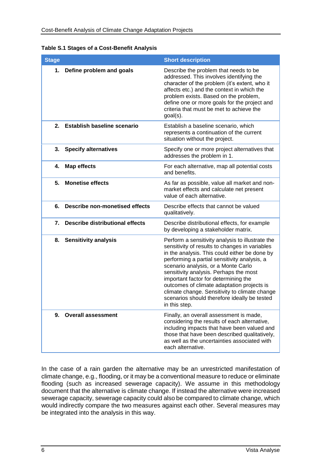<span id="page-7-0"></span>

| <b>Table S.1 Stages of a Cost-Benefit Analysis</b> |  |  |  |  |  |
|----------------------------------------------------|--|--|--|--|--|
|----------------------------------------------------|--|--|--|--|--|

| <b>Stage</b> |                                        | <b>Short description</b>                                                                                                                                                                                                                                                                                                                                                                                                                                                                     |
|--------------|----------------------------------------|----------------------------------------------------------------------------------------------------------------------------------------------------------------------------------------------------------------------------------------------------------------------------------------------------------------------------------------------------------------------------------------------------------------------------------------------------------------------------------------------|
| 1.           | Define problem and goals               | Describe the problem that needs to be<br>addressed. This involves identifying the<br>character of the problem (it's extent, who it<br>affects etc.) and the context in which the<br>problem exists. Based on the problem,<br>define one or more goals for the project and<br>criteria that must be met to achieve the<br>$goal(s)$ .                                                                                                                                                         |
| 2.           | <b>Establish baseline scenario</b>     | Establish a baseline scenario, which<br>represents a continuation of the current<br>situation without the project.                                                                                                                                                                                                                                                                                                                                                                           |
|              | 3. Specify alternatives                | Specify one or more project alternatives that<br>addresses the problem in 1.                                                                                                                                                                                                                                                                                                                                                                                                                 |
| 4.           | <b>Map effects</b>                     | For each alternative, map all potential costs<br>and benefits.                                                                                                                                                                                                                                                                                                                                                                                                                               |
| 5.           | <b>Monetise effects</b>                | As far as possible, value all market and non-<br>market effects and calculate net present<br>value of each alternative.                                                                                                                                                                                                                                                                                                                                                                      |
| 6.           | <b>Describe non-monetised effects</b>  | Describe effects that cannot be valued<br>qualitatively.                                                                                                                                                                                                                                                                                                                                                                                                                                     |
| 7.           | <b>Describe distributional effects</b> | Describe distributional effects, for example<br>by developing a stakeholder matrix.                                                                                                                                                                                                                                                                                                                                                                                                          |
| 8.           | <b>Sensitivity analysis</b>            | Perform a sensitivity analysis to illustrate the<br>sensitivity of results to changes in variables<br>in the analysis. This could either be done by<br>performing a partial sensitivity analysis, a<br>scenario analysis, or a Monte Carlo<br>sensitivity analysis. Perhaps the most<br>important factor for determining the<br>outcomes of climate adaptation projects is<br>climate change. Sensitivity to climate change<br>scenarios should therefore ideally be tested<br>in this step. |
| 9.           | <b>Overall assessment</b>              | Finally, an overall assessment is made,<br>considering the results of each alternative,<br>including impacts that have been valued and<br>those that have been described qualitatively,<br>as well as the uncertainties associated with<br>each alternative.                                                                                                                                                                                                                                 |

In the case of a rain garden the alternative may be an unrestricted manifestation of climate change, e.g., flooding, or it may be a conventional measure to reduce or eliminate flooding (such as increased sewerage capacity). We assume in this methodology document that the alternative is climate change. If instead the alternative were increased sewerage capacity, sewerage capacity could also be compared to climate change, which would indirectly compare the two measures against each other. Several measures may be integrated into the analysis in this way.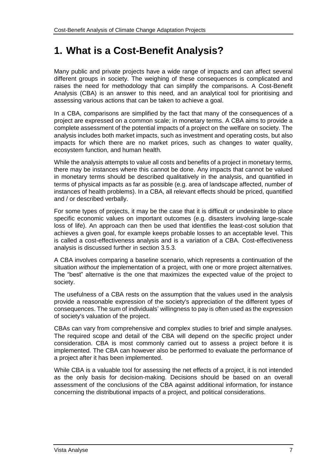# **1. What is a Cost-Benefit Analysis?**

Many public and private projects have a wide range of impacts and can affect several different groups in society. The weighing of these consequences is complicated and raises the need for methodology that can simplify the comparisons. A Cost-Benefit Analysis (CBA) is an answer to this need, and an analytical tool for prioritising and assessing various actions that can be taken to achieve a goal.

In a CBA, comparisons are simplified by the fact that many of the consequences of a project are expressed on a common scale; in monetary terms. A CBA aims to provide a complete assessment of the potential impacts of a project on the welfare on society. The analysis includes both market impacts, such as investment and operating costs, but also impacts for which there are no market prices, such as changes to water quality, ecosystem function, and human health.

While the analysis attempts to value all costs and benefits of a project in monetary terms, there may be instances where this cannot be done. Any impacts that cannot be valued in monetary terms should be described qualitatively in the analysis, and quantified in terms of physical impacts as far as possible (e.g. area of landscape affected, number of instances of health problems). In a CBA, all relevant effects should be priced, quantified and / or described verbally.

For some types of projects, it may be the case that it is difficult or undesirable to place specific economic values on important outcomes (e.g. disasters involving large-scale loss of life). An approach can then be used that identifies the least-cost solution that achieves a given goal, for example keeps probable losses to an acceptable level. This is called a cost-effectiveness analysis and is a variation of a CBA. Cost-effectiveness analysis is discussed further in section [3.5.3.](#page-18-0)

A CBA involves comparing a baseline scenario, which represents a continuation of the situation *without* the implementation of a project, with one or more project alternatives. The "best" alternative is the one that maximizes the expected value of the project to society.

The usefulness of a CBA rests on the assumption that the values used in the analysis provide a reasonable expression of the society's appreciation of the different types of consequences. The sum of individuals' willingness to pay is often used as the expression of society's valuation of the project.

CBAs can vary from comprehensive and complex studies to brief and simple analyses. The required scope and detail of the CBA will depend on the specific project under consideration. CBA is most commonly carried out to assess a project before it is implemented. The CBA can however also be performed to evaluate the performance of a project after it has been implemented.

While CBA is a valuable tool for assessing the net effects of a project, it is not intended as the only basis for decision-making. Decisions should be based on an overall assessment of the conclusions of the CBA against additional information, for instance concerning the distributional impacts of a project, and political considerations.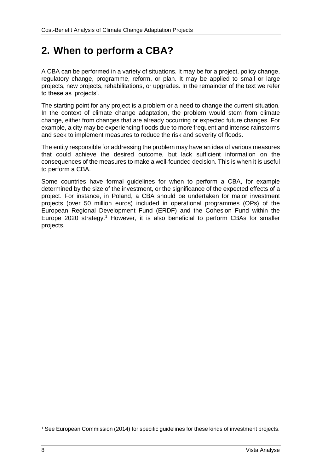# **2. When to perform a CBA?**

A CBA can be performed in a variety of situations. It may be for a project, policy change, regulatory change, programme, reform, or plan. It may be applied to small or large projects, new projects, rehabilitations, or upgrades. In the remainder of the text we refer to these as 'projects'.

The starting point for any project is a problem or a need to change the current situation. In the context of climate change adaptation, the problem would stem from climate change, either from changes that are already occurring or expected future changes. For example, a city may be experiencing floods due to more frequent and intense rainstorms and seek to implement measures to reduce the risk and severity of floods.

The entity responsible for addressing the problem may have an idea of various measures that could achieve the desired outcome, but lack sufficient information on the consequences of the measures to make a well-founded decision. This is when it is useful to perform a CBA.

Some countries have formal guidelines for when to perform a CBA, for example determined by the size of the investment, or the significance of the expected effects of a project. For instance, in Poland, a CBA should be undertaken for major investment projects (over 50 million euros) included in operational programmes (OPs) of the European Regional Development Fund (ERDF) and the Cohesion Fund within the Europe 2020 strategy.<sup>1</sup> However, it is also beneficial to perform CBAs for smaller projects.

 $\overline{a}$ 

<sup>1</sup> See European Commission (2014) for specific guidelines for these kinds of investment projects.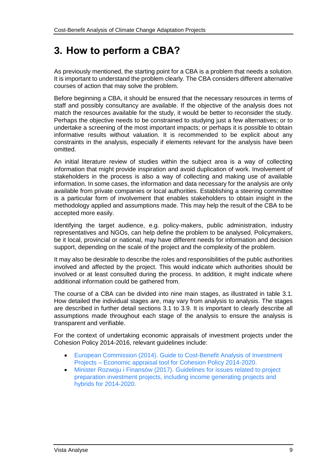# <span id="page-10-0"></span>**3. How to perform a CBA?**

As previously mentioned, the starting point for a CBA is a problem that needs a solution. It is important to understand the problem clearly. The CBA considers different alternative courses of action that may solve the problem.

Before beginning a CBA, it should be ensured that the necessary resources in terms of staff and possibly consultancy are available. If the objective of the analysis does not match the resources available for the study, it would be better to reconsider the study. Perhaps the objective needs to be constrained to studying just a few alternatives; or to undertake a screening of the most important impacts; or perhaps it is possible to obtain informative results without valuation. It is recommended to be explicit about any constraints in the analysis, especially if elements relevant for the analysis have been omitted.

An initial literature review of studies within the subject area is a way of collecting information that might provide inspiration and avoid duplication of work. Involvement of stakeholders in the process is also a way of collecting and making use of available information. In some cases, the information and data necessary for the analysis are only available from private companies or local authorities. Establishing a steering committee is a particular form of involvement that enables stakeholders to obtain insight in the methodology applied and assumptions made. This may help the result of the CBA to be accepted more easily.

Identifying the target audience, e.g. policy-makers, public administration, industry representatives and NGOs, can help define the problem to be analysed. Policymakers, be it local, provincial or national, may have different needs for information and decision support, depending on the scale of the project and the complexity of the problem.

It may also be desirable to describe the roles and responsibilities of the public authorities involved and affected by the project. This would indicate which authorities should be involved or at least consulted during the process. In addition, it might indicate where additional information could be gathered from.

The course of a CBA can be divided into nine main stages, as illustrated in table 3.1. How detailed the individual stages are, may vary from analysis to analysis. The stages are described in further detail sections [3.1](#page-11-0) to [3.9.](#page-22-0) It is important to clearly describe all assumptions made throughout each stage of the analysis to ensure the analysis is transparent and verifiable.

For the context of undertaking economic appraisals of investment projects under the Cohesion Policy 2014-2016, relevant guidelines include:

- [European Commission \(2014\). Guide to Cost-Benefit Analysis of](http://ec.europa.eu/regional_policy/sources/docgener/studies/pdf/cba_guide.pdf) Investment Projects – [Economic appraisal tool for Cohesion Policy 2014-2020.](http://ec.europa.eu/regional_policy/sources/docgener/studies/pdf/cba_guide.pdf)
- [Minister Rozwoju i Finansów \(2017\). Guidelines for issues related to project](https://www.funduszeeuropejskie.gov.pl/media/35599/Wytyczne_PGD_PH_2014_2020.pdf)  preparation investment projects, [including income generating projects and](https://www.funduszeeuropejskie.gov.pl/media/35599/Wytyczne_PGD_PH_2014_2020.pdf)  [hybrids for 2014-2020.](https://www.funduszeeuropejskie.gov.pl/media/35599/Wytyczne_PGD_PH_2014_2020.pdf)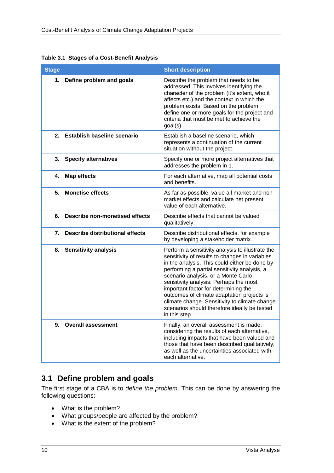| <b>Stage</b> |                                        | <b>Short description</b>                                                                                                                                                                                                                                                                                                                                                                                                                                                                     |
|--------------|----------------------------------------|----------------------------------------------------------------------------------------------------------------------------------------------------------------------------------------------------------------------------------------------------------------------------------------------------------------------------------------------------------------------------------------------------------------------------------------------------------------------------------------------|
| 1.           | Define problem and goals               | Describe the problem that needs to be<br>addressed. This involves identifying the<br>character of the problem (it's extent, who it<br>affects etc.) and the context in which the<br>problem exists. Based on the problem,<br>define one or more goals for the project and<br>criteria that must be met to achieve the<br>goal(s).                                                                                                                                                            |
|              | 2. Establish baseline scenario         | Establish a baseline scenario, which<br>represents a continuation of the current<br>situation without the project.                                                                                                                                                                                                                                                                                                                                                                           |
| 3.           | <b>Specify alternatives</b>            | Specify one or more project alternatives that<br>addresses the problem in 1.                                                                                                                                                                                                                                                                                                                                                                                                                 |
| 4.           | <b>Map effects</b>                     | For each alternative, map all potential costs<br>and benefits.                                                                                                                                                                                                                                                                                                                                                                                                                               |
| 5.           | <b>Monetise effects</b>                | As far as possible, value all market and non-<br>market effects and calculate net present<br>value of each alternative.                                                                                                                                                                                                                                                                                                                                                                      |
| 6.           | <b>Describe non-monetised effects</b>  | Describe effects that cannot be valued<br>qualitatively.                                                                                                                                                                                                                                                                                                                                                                                                                                     |
| 7.           | <b>Describe distributional effects</b> | Describe distributional effects, for example<br>by developing a stakeholder matrix.                                                                                                                                                                                                                                                                                                                                                                                                          |
| 8.           | <b>Sensitivity analysis</b>            | Perform a sensitivity analysis to illustrate the<br>sensitivity of results to changes in variables<br>in the analysis. This could either be done by<br>performing a partial sensitivity analysis, a<br>scenario analysis, or a Monte Carlo<br>sensitivity analysis. Perhaps the most<br>important factor for determining the<br>outcomes of climate adaptation projects is<br>climate change. Sensitivity to climate change<br>scenarios should therefore ideally be tested<br>in this step. |
| 9.           | <b>Overall assessment</b>              | Finally, an overall assessment is made,<br>considering the results of each alternative,<br>including impacts that have been valued and<br>those that have been described qualitatively,<br>as well as the uncertainties associated with<br>each alternative.                                                                                                                                                                                                                                 |

**Table 3.1 Stages of a Cost-Benefit Analysis** 

# <span id="page-11-0"></span>**3.1 Define problem and goals**

The first stage of a CBA is to *define the problem*. This can be done by answering the following questions:

- What is the problem?
- What groups/people are affected by the problem?
- What is the extent of the problem?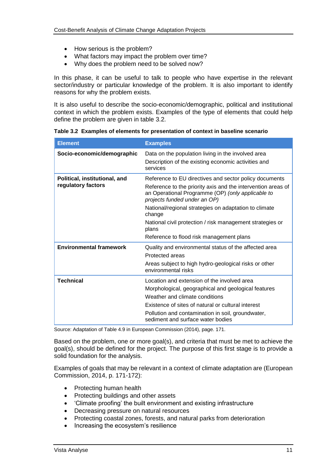- How serious is the problem?
- What factors may impact the problem over time?
- Why does the problem need to be solved now?

In this phase, it can be useful to talk to people who have expertise in the relevant sector/industry or particular knowledge of the problem. It is also important to identify reasons for why the problem exists.

It is also useful to describe the socio-economic/demographic, political and institutional context in which the problem exists. Examples of the type of elements that could help define the problem are given in table 3.2.

|  | Table 3.2 Examples of elements for presentation of context in baseline scenario |  |  |
|--|---------------------------------------------------------------------------------|--|--|
|  |                                                                                 |  |  |

| <b>Element</b>                                      | <b>Examples</b>                                                                                                                                                                                                                                                                                                                                                                                  |
|-----------------------------------------------------|--------------------------------------------------------------------------------------------------------------------------------------------------------------------------------------------------------------------------------------------------------------------------------------------------------------------------------------------------------------------------------------------------|
| Socio-economic/demographic                          | Data on the population living in the involved area<br>Description of the existing economic activities and<br>services                                                                                                                                                                                                                                                                            |
| Political, institutional, and<br>regulatory factors | Reference to EU directives and sector policy documents<br>Reference to the priority axis and the intervention areas of<br>an Operational Programme (OP) (only applicable to<br>projects funded under an OP)<br>National/regional strategies on adaptation to climate<br>change<br>National civil protection / risk management strategies or<br>plans<br>Reference to flood risk management plans |
| <b>Environmental framework</b>                      | Quality and environmental status of the affected area<br>Protected areas<br>Areas subject to high hydro-geological risks or other<br>environmental risks                                                                                                                                                                                                                                         |
| Technical                                           | Location and extension of the involved area<br>Morphological, geographical and geological features<br>Weather and climate conditions<br>Existence of sites of natural or cultural interest<br>Pollution and contamination in soil, groundwater,<br>sediment and surface water bodies                                                                                                             |

Source: Adaptation of Table 4.9 in European Commission (2014), page. 171.

Based on the problem, one or more goal(s), and criteria that must be met to achieve the goal(s), should be defined for the project. The purpose of this first stage is to provide a solid foundation for the analysis.

Examples of goals that may be relevant in a context of climate adaptation are (European Commission, 2014, p. 171-172):

- Protecting human health
- Protecting buildings and other assets
- 'Climate proofing' the built environment and existing infrastructure
- Decreasing pressure on natural resources
- Protecting coastal zones, forests, and natural parks from deterioration
- Increasing the ecosystem's resilience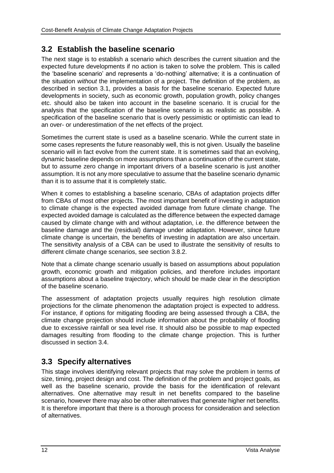# **3.2 Establish the baseline scenario**

The next stage is to establish a scenario which describes the current situation and the expected future developments if no action is taken to solve the problem. This is called the 'baseline scenario' and represents a 'do-nothing' alternative; it is a continuation of the situation *without* the implementation of a project. The definition of the problem, as described in section [3.1,](#page-11-0) provides a basis for the baseline scenario. Expected future developments in society, such as economic growth, population growth, policy changes etc. should also be taken into account in the baseline scenario. It is crucial for the analysis that the specification of the baseline scenario is as realistic as possible. A specification of the baseline scenario that is overly pessimistic or optimistic can lead to an over- or underestimation of the net effects of the project.

Sometimes the current state is used as a baseline scenario. While the current state in some cases represents the future reasonably well, this is not given. Usually the baseline scenario will in fact evolve from the current state. It is sometimes said that an evolving, dynamic baseline depends on more assumptions than a continuation of the current state, but to assume zero change in important drivers of a baseline scenario is just another assumption. It is not any more speculative to assume that the baseline scenario dynamic than it is to assume that it is completely static.

When it comes to establishing a baseline scenario, CBAs of adaptation projects differ from CBAs of most other projects. The most important benefit of investing in adaptation to climate change is the expected avoided damage from future climate change. The expected avoided damage is calculated as the difference between the expected damage caused by climate change with and without adaptation, i.e. the difference between the baseline damage and the (residual) damage under adaptation. However, since future climate change is uncertain, the benefits of investing in adaptation are also uncertain. The sensitivity analysis of a CBA can be used to illustrate the sensitivity of results to different climate change scenarios, see section [3.8.2.](#page-21-0)

Note that a climate change scenario usually is based on assumptions about population growth, economic growth and mitigation policies, and therefore includes important assumptions about a baseline trajectory, which should be made clear in the description of the baseline scenario.

The assessment of adaptation projects usually requires high resolution climate projections for the climate phenomenon the adaptation project is expected to address. For instance, if options for mitigating flooding are being assessed through a CBA, the climate change projection should include information about the probability of flooding due to excessive rainfall or sea level rise. It should also be possible to map expected damages resulting from flooding to the climate change projection. This is further discussed in section [3.4.](#page-14-0)

# **3.3 Specify alternatives**

This stage involves identifying relevant projects that may solve the problem in terms of size, timing, project design and cost. The definition of the problem and project goals, as well as the baseline scenario, provide the basis for the identification of relevant alternatives. One alternative may result in net benefits compared to the baseline scenario, however there may also be other alternatives that generate higher net benefits. It is therefore important that there is a thorough process for consideration and selection of alternatives.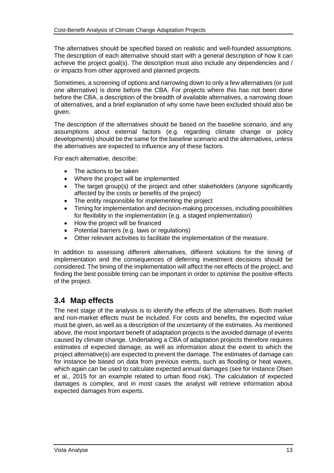The alternatives should be specified based on realistic and well-founded assumptions. The description of each alternative should start with a general description of how it can achieve the project goal(s). The description must also include any dependencies and / or impacts from other approved and planned projects.

Sometimes, a screening of options and narrowing down to only a few alternatives (or just one alternative) is done before the CBA. For projects where this has not been done before the CBA, a description of the breadth of available alternatives, a narrowing down of alternatives, and a brief explanation of why some have been excluded should also be given.

The description of the alternatives should be based on the baseline scenario, and any assumptions about external factors (e.g. regarding climate change or policy developments) should be the same for the baseline scenario and the alternatives, unless the alternatives are expected to influence any of these factors.

For each alternative, describe:

- The actions to be taken
- Where the project will be implemented
- The target group(s) of the project and other stakeholders (anyone significantly affected by the costs or benefits of the project)
- The entity responsible for implementing the project
- Timing for implementation and decision-making processes, including possibilities for flexibility in the implementation (e.g. a staged implementation)
- How the project will be financed
- Potential barriers (e.g. laws or regulations)
- Other relevant activities to facilitate the implementation of the measure.

In addition to assessing different alternatives, different solutions for the timing of implementation and the consequences of deferring investment decisions should be considered. The timing of the implementation will affect the net effects of the project, and finding the best possible timing can be important in order to optimise the positive effects of the project.

## <span id="page-14-0"></span>**3.4 Map effects**

The next stage of the analysis is to identify the effects of the alternatives. Both market and non-market effects must be included. For costs and benefits, the expected value must be given, as well as a description of the uncertainty of the estimates. As mentioned above, the most important benefit of adaptation projects is the avoided damage of events caused by climate change. Undertaking a CBA of adaptation projects therefore requires estimates of expected damage, as well as information about the extent to which the project alternative(s) are expected to prevent the damage. The estimates of damage can for instance be based on data from previous events, such as flooding or heat waves, which again can be used to calculate expected annual damages (see for instance Olsen et al., 2015 for an example related to urban flood risk). The calculation of expected damages is complex, and in most cases the analyst will retrieve information about expected damages from experts.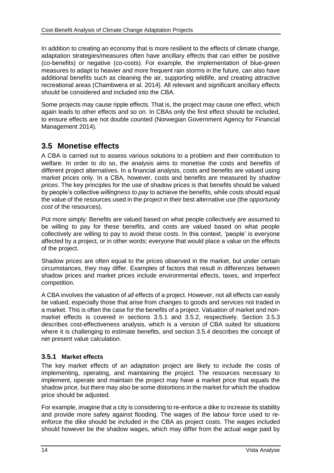In addition to creating an economy that is more resilient to the effects of climate change, adaptation strategies/measures often have ancillary effects that can either be positive (co-benefits) or negative (co-costs). For example, the implementation of blue-green measures to adapt to heavier and more frequent rain storms in the future, can also have additional benefits such as cleaning the air, supporting wildlife, and creating attractive recreational areas (Chambwera et al. 2014). All relevant and significant ancillary effects should be considered and included into the CBA.

Some projects may cause ripple effects. That is, the project may cause one effect, which again leads to other effects and so on. In CBAs only the first effect should be included, to ensure effects are not double counted (Norwegian Government Agency for Financial Management 2014).

# **3.5 Monetise effects**

A CBA is carried out to assess various solutions to a problem and their contribution to welfare. In order to do so, the analysis aims to monetise the costs and benefits of different project alternatives. In a financial analysis, costs and benefits are valued using market prices only. In a CBA, however, costs and benefits are measured by *shadow prices*. The key principles for the use of shadow prices is that benefits should be valued by people's collective *willingness to pay* to achieve the benefits, while costs should equal the value of the resources used in the project in their best alternative use (the *opportunity cost* of the resources).

Put more simply: Benefits are valued based on what people collectively are assumed to be willing to pay for these benefits, and costs are valued based on what people collectively are willing to pay to avoid these costs. In this context, 'people' is everyone affected by a project, or in other words; everyone that would place a value on the effects of the project.

Shadow prices are often equal to the prices observed in the market, but under certain circumstances, they may differ. Examples of factors that result in differences between shadow prices and market prices include environmental effects, taxes, and imperfect competition.

A CBA involves the valuation of *all* effects of a project. However, not all effects can easily be valued, especially those that arise from changes to goods and services not traded in a market. This is often the case for the benefits of a project. Valuation of market and nonmarket effects is covered in sections [3.5.1](#page-15-0) and [3.5.2,](#page-16-0) respectively. Section [3.5.3](#page-18-0) describes cost-effectiveness analysis, which is a version of CBA suited for situations where it is challenging to estimate benefits, and section [3.5.4](#page-18-1) describes the concept of net present value calculation.

### <span id="page-15-0"></span>**3.5.1 Market effects**

The key market effects of an adaptation project are likely to include the costs of implementing, operating, and maintaining the project. The resources necessary to implement, operate and maintain the project may have a market price that equals the shadow price, but there may also be some distortions in the market for which the shadow price should be adjusted.

For example, imagine that a city is considering to re-enforce a dike to increase its stability and provide more safety against flooding. The wages of the labour force used to reenforce the dike should be included in the CBA as project costs. The wages included should however be the shadow wages, which may differ from the actual wage paid by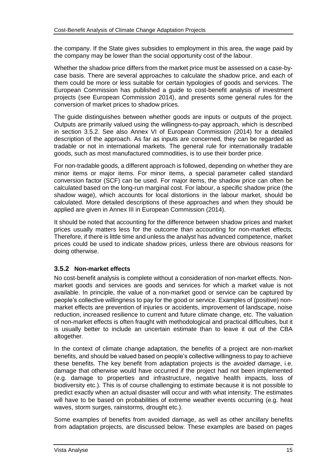the company. If the State gives subsidies to employment in this area, the wage paid by the company may be lower than the social opportunity cost of the labour.

Whether the shadow price differs from the market price must be assessed on a case-bycase basis. There are several approaches to calculate the shadow price, and each of them could be more or less suitable for certain typologies of goods and services. The European Commission has published a guide to cost-benefit analysis of investment projects (see European Commission 2014), and presents some general rules for the conversion of market prices to shadow prices.

The guide distinguishes between whether goods are inputs or outputs of the project. Outputs are primarily valued using the willingness-to-pay approach, which is described in section [3.5.2.](#page-16-0) See also Annex VI of European Commission (2014) for a detailed description of the approach. As far as inputs are concerned, they can be regarded as tradable or not in international markets. The general rule for internationally tradable goods, such as most manufactured commodities, is to use their border price.

For non-tradable goods, a different approach is followed, depending on whether they are minor items or major items. For minor items, a special parameter called standard conversion factor (SCF) can be used. For major items, the shadow price can often be calculated based on the long-run marginal cost. For labour, a specific shadow price (the shadow wage), which accounts for local distortions in the labour market, should be calculated. More detailed descriptions of these approaches and when they should be applied are given in Annex III in European Commission (2014).

It should be noted that accounting for the difference between shadow prices and market prices usually matters less for the outcome than accounting for non-market effects. Therefore, if there is little time and unless the analyst has advanced competence, market prices could be used to indicate shadow prices, unless there are obvious reasons for doing otherwise.

### <span id="page-16-0"></span>**3.5.2 Non-market effects**

No cost-benefit analysis is complete without a consideration of non-market effects. Nonmarket goods and services are goods and services for which a market value is not available. In principle, the value of a non-market good or service can be captured by people's collective willingness to pay for the good or service. Examples of (positive) nonmarket effects are prevention of injuries or accidents, improvement of landscape, noise reduction, increased resilience to current and future climate change, etc. The valuation of non-market effects is often fraught with methodological and practical difficulties, but it is usually better to include an uncertain estimate than to leave it out of the CBA altogether.

In the context of climate change adaptation, the benefits of a project are non-market benefits, and should be valued based on people's collective willingness to pay to achieve these benefits. The key benefit from adaptation projects is the *avoided damage*, i.e. damage that otherwise would have occurred if the project had not been implemented (e.g. damage to properties and infrastructure, negative health impacts, loss of biodiversity etc.). This is of course challenging to estimate because it is not possible to predict exactly when an actual disaster will occur and with what intensity. The estimates will have to be based on probabilities of extreme weather events occurring (e.g. heat waves, storm surges, rainstorms, drought etc.).

Some examples of benefits from avoided damage, as well as other ancillary benefits from adaptation projects, are discussed below. These examples are based on pages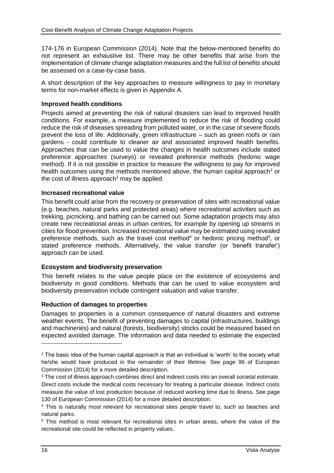174-176 in European Commission (2014). Note that the below-mentioned benefits do not represent an exhaustive list. There may be other benefits that arise from the implementation of climate change adaptation measures and the full list of benefits should be assessed on a case-by-case basis.

A short description of the key approaches to measure willingness to pay in monetary terms for non-market effects is given in Appendix A.

#### **Improved health conditions**

Projects aimed at preventing the risk of natural disasters can lead to improved health conditions. For example, a measure implemented to reduce the risk of flooding could reduce the risk of diseases spreading from polluted water, or in the case of severe floods prevent the loss of life. Additionally, green infrastructure – such as green roofs or rain gardens - could contribute to cleaner air and associated improved health benefits. Approaches that can be used to value the changes in health outcomes include stated preference approaches (surveys) or revealed preference methods (hedonic wage method). If it is not possible in practice to measure the willingness to pay for improved health outcomes using the methods mentioned above, the human capital approach<sup>2</sup> or the cost of illness approach<sup>3</sup> may be applied.

#### **Increased recreational value**

This benefit could arise from the recovery or preservation of sites with recreational value (e.g. beaches, natural parks and protected areas) where recreational activities such as trekking, picnicking, and bathing can be carried out. Some adaptation projects may also create new recreational areas in urban centres, for example by opening up streams in cities for flood prevention. Increased recreational value may be estimated using revealed preference methods, such as the travel cost method<sup>4</sup> or hedonic pricing method<sup>5</sup>, or stated preference methods. Alternatively, the value transfer (or 'benefit transfer') approach can be used.

#### **Ecosystem and biodiversity preservation**

This benefit relates to the value people place on the existence of ecosystems and biodiversity in good conditions. Methods that can be used to value ecosystem and biodiversity preservation include contingent valuation and value transfer.

#### **Reduction of damages to properties**

Damages to properties is a common consequence of natural disasters and extreme weather events. The benefit of preventing damages to capital (infrastructures, buildings and machineries) and natural (forests, biodiversity) stocks could be measured based on expected avoided damage. The information and data needed to estimate the expected

 $2$  The basic idea of the human capital approach is that an individual is 'worth' to the society what he/she would have produced in the remainder of their lifetime. See page 96 of European Commission (2014) for a more detailed description.

<sup>&</sup>lt;sup>3</sup> The cost of illness approach combines direct and indirect costs into an overall societal estimate. Direct costs include the medical costs necessary for treating a particular disease. Indirect costs measure the value of lost production because of reduced working time due to illness. See page 130 of European Commission (2014) for a more detailed description.

<sup>4</sup> This is naturally most relevant for recreational sites people travel to, such as beaches and natural parks.

<sup>5</sup> This method is most relevant for recreational sites in urban areas, where the value of the recreational site could be reflected in property values.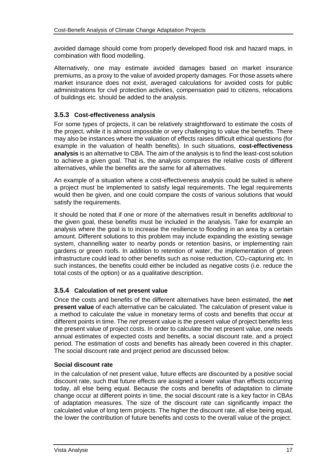avoided damage should come from properly developed flood risk and hazard maps, in combination with flood modelling.

Alternatively, one may estimate avoided damages based on market insurance premiums, as a proxy to the value of avoided property damages. For those assets where market insurance does not exist, averaged calculations for avoided costs for public administrations for civil protection activities, compensation paid to citizens, relocations of buildings etc. should be added to the analysis.

## <span id="page-18-0"></span>**3.5.3 Cost-effectiveness analysis**

For some types of projects, it can be relatively straightforward to estimate the costs of the project, while it is almost impossible or very challenging to value the benefits. There may also be instances where the valuation of effects raises difficult ethical questions (for example in the valuation of health benefits). In such situations, **cost-effectiveness analysis** is an alternative to CBA. The aim of the analysis is to find the least-cost solution to achieve a given goal. That is, the analysis compares the relative costs of different alternatives, while the benefits are the same for all alternatives.

An example of a situation where a cost-effectiveness analysis could be suited is where a project must be implemented to satisfy legal requirements. The legal requirements would then be given, and one could compare the costs of various solutions that would satisfy the requirements.

It should be noted that if one or more of the alternatives result in benefits *additional* to the given goal, these benefits must be included in the analysis. Take for example an analysis where the goal is to increase the resilience to flooding in an area by a certain amount. Different solutions to this problem may include expanding the existing sewage system, channelling water to nearby ponds or retention basins, or implementing rain gardens or green roofs. In addition to retention of water, the implementation of green infrastructure could lead to other benefits such as noise reduction,  $CO<sub>2</sub>$ -capturing etc. In such instances, the benefits could either be included as negative costs (i.e. reduce the total costs of the option) or as a qualitative description.

## <span id="page-18-1"></span>**3.5.4 Calculation of net present value**

Once the costs and benefits of the different alternatives have been estimated, the **net present value** of each alternative can be calculated. The calculation of present value is a method to calculate the value in monetary terms of costs and benefits that occur at different points in time. The *net* present value is the present value of project benefits less the present value of project costs. In order to calculate the net present value, one needs annual estimates of expected costs and benefits, a social discount rate, and a project period. The estimation of costs and benefits has already been covered in this chapter. The social discount rate and project period are discussed below.

### **Social discount rate**

In the calculation of net present value, future effects are discounted by a positive social discount rate, such that future effects are assigned a lower value than effects occurring today, all else being equal. Because the costs and benefits of adaptation to climate change occur at different points in time, the social discount rate is a key factor in CBAs of adaptation measures. The size of the discount rate can significantly impact the calculated value of long term projects. The higher the discount rate, all else being equal, the lower the contribution of future benefits and costs to the overall value of the project.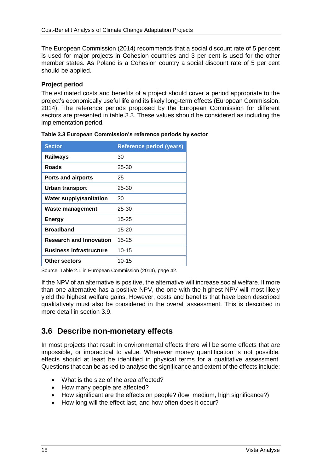The European Commission (2014) recommends that a social discount rate of 5 per cent is used for major projects in Cohesion countries and 3 per cent is used for the other member states. As Poland is a Cohesion country a social discount rate of 5 per cent should be applied.

### **Project period**

The estimated costs and benefits of a project should cover a period appropriate to the project's economically useful life and its likely long-term effects (European Commission, 2014). The reference periods proposed by the European Commission for different sectors are presented in table 3.3. These values should be considered as including the implementation period.

| <b>Sector</b>                  | <b>Reference period (years)</b> |
|--------------------------------|---------------------------------|
| <b>Railways</b>                | 30                              |
| Roads                          | 25-30                           |
| <b>Ports and airports</b>      | 25                              |
| <b>Urban transport</b>         | 25-30                           |
| <b>Water supply/sanitation</b> | 30                              |
| Waste management               | 25-30                           |
| <b>Energy</b>                  | 15-25                           |
| <b>Broadband</b>               | 15-20                           |
| <b>Research and Innovation</b> | 15-25                           |
| <b>Business infrastructure</b> | $10 - 15$                       |
| Other sectors                  | 10-15                           |

**Table 3.3 European Commission's reference periods by sector** 

Source: Table 2.1 in European Commission (2014), page 42.

If the NPV of an alternative is positive, the alternative will increase social welfare. If more than one alternative has a positive NPV, the one with the highest NPV will most likely yield the highest welfare gains. However, costs and benefits that have been described qualitatively must also be considered in the overall assessment. This is described in more detail in section [3.9.](#page-22-0)

# **3.6 Describe non-monetary effects**

In most projects that result in environmental effects there will be some effects that are impossible, or impractical to value. Whenever money quantification is not possible, effects should at least be identified in physical terms for a qualitative assessment. Questions that can be asked to analyse the significance and extent of the effects include:

- What is the size of the area affected?
- How many people are affected?
- How significant are the effects on people? (low, medium, high significance?)
- How long will the effect last, and how often does it occur?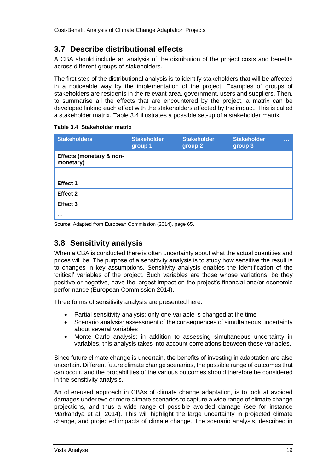# **3.7 Describe distributional effects**

A CBA should include an analysis of the distribution of the project costs and benefits across different groups of stakeholders.

The first step of the distributional analysis is to identify stakeholders that will be affected in a noticeable way by the implementation of the project. Examples of groups of stakeholders are residents in the relevant area, government, users and suppliers. Then, to summarise all the effects that are encountered by the project, a matrix can be developed linking each effect with the stakeholders affected by the impact. This is called a stakeholder matrix. Table 3.4 illustrates a possible set-up of a stakeholder matrix.

#### **Table 3.4 Stakeholder matrix**

| <b>Stakeholders</b>                   | <b>Stakeholder</b><br>group 1 | <b>Stakeholder</b><br>group 2 | <b>Stakeholder</b><br>group 3 | <b>ALC UNIT</b> |
|---------------------------------------|-------------------------------|-------------------------------|-------------------------------|-----------------|
| Effects (monetary & non-<br>monetary) |                               |                               |                               |                 |
|                                       |                               |                               |                               |                 |
| Effect 1                              |                               |                               |                               |                 |
| <b>Effect 2</b>                       |                               |                               |                               |                 |
| Effect 3                              |                               |                               |                               |                 |
|                                       |                               |                               |                               |                 |

Source: Adapted from European Commission (2014), page 65.

# **3.8 Sensitivity analysis**

When a CBA is conducted there is often uncertainty about what the actual quantities and prices will be. The purpose of a sensitivity analysis is to study how sensitive the result is to changes in key assumptions. Sensitivity analysis enables the identification of the 'critical' variables of the project. Such variables are those whose variations, be they positive or negative, have the largest impact on the project's financial and/or economic performance (European Commission 2014).

Three forms of sensitivity analysis are presented here:

- Partial sensitivity analysis: only one variable is changed at the time
- Scenario analysis: assessment of the consequences of simultaneous uncertainty about several variables
- Monte Carlo analysis: in addition to assessing simultaneous uncertainty in variables, this analysis takes into account correlations between these variables.

Since future climate change is uncertain, the benefits of investing in adaptation are also uncertain. Different future climate change scenarios, the possible range of outcomes that can occur, and the probabilities of the various outcomes should therefore be considered in the sensitivity analysis.

An often-used approach in CBAs of climate change adaptation, is to look at avoided damages under two or more climate scenarios to capture a wide range of climate change projections, and thus a wide range of possible avoided damage (see for instance Markandya et al. 2014). This will highlight the large uncertainty in projected climate change, and projected impacts of climate change. The scenario analysis, described in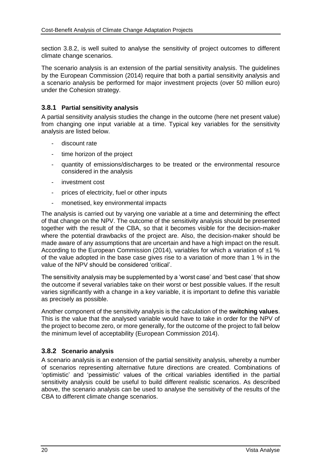section [3.8.2,](#page-21-0) is well suited to analyse the sensitivity of project outcomes to different climate change scenarios.

The scenario analysis is an extension of the partial sensitivity analysis. The guidelines by the European Commission (2014) require that both a partial sensitivity analysis and a scenario analysis be performed for major investment projects (over 50 million euro) under the Cohesion strategy.

### **3.8.1 Partial sensitivity analysis**

A partial sensitivity analysis studies the change in the outcome (here net present value) from changing one input variable at a time. Typical key variables for the sensitivity analysis are listed below.

- discount rate
- time horizon of the project
- quantity of emissions/discharges to be treated or the environmental resource considered in the analysis
- investment cost
- prices of electricity, fuel or other inputs
- monetised, key environmental impacts

The analysis is carried out by varying one variable at a time and determining the effect of that change on the NPV. The outcome of the sensitivity analysis should be presented together with the result of the CBA, so that it becomes visible for the decision-maker where the potential drawbacks of the project are. Also, the decision-maker should be made aware of any assumptions that are uncertain and have a high impact on the result. According to the European Commission (2014), variables for which a variation of  $\pm 1$  % of the value adopted in the base case gives rise to a variation of more than 1 % in the value of the NPV should be considered 'critical'.

The sensitivity analysis may be supplemented by a 'worst case' and 'best case' that show the outcome if several variables take on their worst or best possible values. If the result varies significantly with a change in a key variable, it is important to define this variable as precisely as possible.

Another component of the sensitivity analysis is the calculation of the **switching values**. This is the value that the analysed variable would have to take in order for the NPV of the project to become zero, or more generally, for the outcome of the project to fall below the minimum level of acceptability (European Commission 2014).

## <span id="page-21-0"></span>**3.8.2 Scenario analysis**

A scenario analysis is an extension of the partial sensitivity analysis, whereby a number of scenarios representing alternative future directions are created. Combinations of 'optimistic' and 'pessimistic' values of the critical variables identified in the partial sensitivity analysis could be useful to build different realistic scenarios. As described above, the scenario analysis can be used to analyse the sensitivity of the results of the CBA to different climate change scenarios.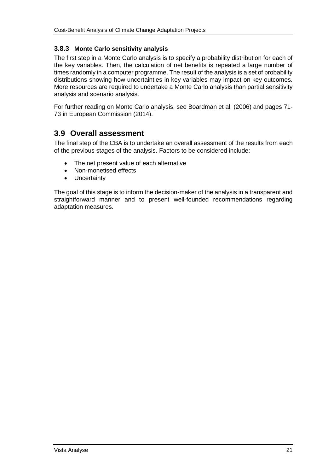## **3.8.3 Monte Carlo sensitivity analysis**

The first step in a Monte Carlo analysis is to specify a probability distribution for each of the key variables. Then, the calculation of net benefits is repeated a large number of times randomly in a computer programme. The result of the analysis is a set of probability distributions showing how uncertainties in key variables may impact on key outcomes. More resources are required to undertake a Monte Carlo analysis than partial sensitivity analysis and scenario analysis.

For further reading on Monte Carlo analysis, see Boardman et al. (2006) and pages 71- 73 in European Commission (2014).

# <span id="page-22-0"></span>**3.9 Overall assessment**

The final step of the CBA is to undertake an overall assessment of the results from each of the previous stages of the analysis. Factors to be considered include:

- The net present value of each alternative
- Non-monetised effects
- Uncertainty

The goal of this stage is to inform the decision-maker of the analysis in a transparent and straightforward manner and to present well-founded recommendations regarding adaptation measures.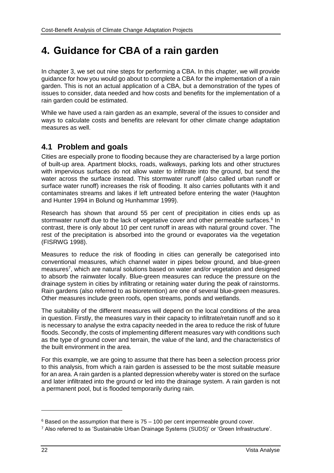# **4. Guidance for CBA of a rain garden**

In chapter [3,](#page-10-0) we set out nine steps for performing a CBA. In this chapter, we will provide guidance for how you would go about to complete a CBA for the implementation of a rain garden. This is not an actual application of a CBA, but a demonstration of the types of issues to consider, data needed and how costs and benefits for the implementation of a rain garden could be estimated.

While we have used a rain garden as an example, several of the issues to consider and ways to calculate costs and benefits are relevant for other climate change adaptation measures as well.

# **4.1 Problem and goals**

Cities are especially prone to flooding because they are characterised by a large portion of built-up area. Apartment blocks, roads, walkways, parking lots and other structures with impervious surfaces do not allow water to infiltrate into the ground, but send the water across the surface instead. This stormwater runoff (also called urban runoff or surface water runoff) increases the risk of flooding. It also carries pollutants with it and contaminates streams and lakes if left untreated before entering the water (Haughton and Hunter 1994 in Bolund og Hunhammar 1999).

Research has shown that around 55 per cent of precipitation in cities ends up as stormwater runoff due to the lack of vegetative cover and other permeable surfaces.<sup>6</sup> In contrast, there is only about 10 per cent runoff in areas with natural ground cover. The rest of the precipitation is absorbed into the ground or evaporates via the vegetation (FISRWG 1998).

Measures to reduce the risk of flooding in cities can generally be categorised into conventional measures, which channel water in pipes below ground, and blue-green measures<sup>7</sup>, which are natural solutions based on water and/or vegetation and designed to absorb the rainwater locally. Blue-green measures can reduce the pressure on the drainage system in cities by infiltrating or retaining water during the peak of rainstorms. Rain gardens (also referred to as bioretention) are one of several blue-green measures. Other measures include green roofs, open streams, ponds and wetlands.

The suitability of the different measures will depend on the local conditions of the area in question. Firstly, the measures vary in their capacity to infiltrate/retain runoff and so it is necessary to analyse the extra capacity needed in the area to reduce the risk of future floods. Secondly, the costs of implementing different measures vary with conditions such as the type of ground cover and terrain, the value of the land, and the characteristics of the built environment in the area.

For this example, we are going to assume that there has been a selection process prior to this analysis, from which a rain garden is assessed to be the most suitable measure for an area. A rain garden is a planted depression whereby water is stored on the surface and later infiltrated into the ground or led into the drainage system. A rain garden is not a permanent pool, but is flooded temporarily during rain.

 $\overline{a}$ 

 $6$  Based on the assumption that there is  $75 - 100$  per cent impermeable ground cover.

<sup>7</sup> Also referred to as 'Sustainable Urban Drainage Systems (SUDS)' or 'Green Infrastructure'.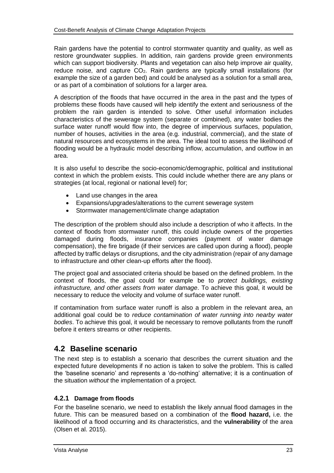Rain gardens have the potential to control stormwater quantity and quality, as well as restore groundwater supplies. In addition, rain gardens provide green environments which can support biodiversity. Plants and vegetation can also help improve air quality, reduce noise, and capture  $CO<sub>2</sub>$ . Rain gardens are typically small installations (for example the size of a garden bed) and could be analysed as a solution for a small area, or as part of a combination of solutions for a larger area.

A description of the floods that have occurred in the area in the past and the types of problems these floods have caused will help identify the extent and seriousness of the problem the rain garden is intended to solve. Other useful information includes characteristics of the sewerage system (separate or combined), any water bodies the surface water runoff would flow into, the degree of impervious surfaces, population, number of houses, activities in the area (e.g. industrial, commercial), and the state of natural resources and ecosystems in the area. The ideal tool to assess the likelihood of flooding would be a hydraulic model describing inflow, accumulation, and outflow in an area.

It is also useful to describe the socio-economic/demographic, political and institutional context in which the problem exists. This could include whether there are any plans or strategies (at local, regional or national level) for;

- Land use changes in the area
- Expansions/upgrades/alterations to the current sewerage system
- Stormwater management/climate change adaptation

The description of the problem should also include a description of who it affects. In the context of floods from stormwater runoff, this could include owners of the properties damaged during floods, insurance companies (payment of water damage compensation), the fire brigade (if their services are called upon during a flood), people affected by traffic delays or disruptions, and the city administration (repair of any damage to infrastructure and other clean-up efforts after the flood).

The project goal and associated criteria should be based on the defined problem. In the context of floods, the goal could for example be to *protect buildings, existing infrastructure, and other assets from water damage*. To achieve this goal, it would be necessary to reduce the velocity and volume of surface water runoff.

If contamination from surface water runoff is also a problem in the relevant area, an additional goal could be to *reduce contamination of water running into nearby water bodies*. To achieve this goal, it would be necessary to remove pollutants from the runoff before it enters streams or other recipients.

## **4.2 Baseline scenario**

The next step is to establish a scenario that describes the current situation and the expected future developments if no action is taken to solve the problem. This is called the 'baseline scenario' and represents a 'do-nothing' alternative; it is a continuation of the situation *without* the implementation of a project.

### **4.2.1 Damage from floods**

For the baseline scenario, we need to establish the likely annual flood damages in the future. This can be measured based on a combination of the **flood hazard,** i.e. the likelihood of a flood occurring and its characteristics, and the **vulnerability** of the area (Olsen et al. 2015).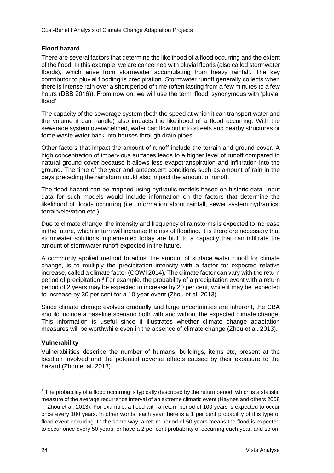## **Flood hazard**

There are several factors that determine the likelihood of a flood occurring and the extent of the flood. In this example, we are concerned with pluvial floods (also called stormwater floods), which arise from stormwater accumulating from heavy rainfall. The key contributor to pluvial flooding is precipitation. Stormwater runoff generally collects when there is intense rain over a short period of time (often lasting from a few minutes to a few hours (DSB 2016)). From now on, we will use the term 'flood' synonymous with 'pluvial flood'.

The capacity of the sewerage system (both the speed at which it can transport water and the volume it can handle) also impacts the likelihood of a flood occurring. With the sewerage system overwhelmed, water can flow out into streets and nearby structures or force waste water back into houses through drain pipes.

Other factors that impact the amount of runoff include the terrain and ground cover. A high concentration of impervious surfaces leads to a higher level of runoff compared to natural ground cover because it allows less evapotranspiration and infiltration into the ground. The time of the year and antecedent conditions such as amount of rain in the days preceding the rainstorm could also impact the amount of runoff.

The flood hazard can be mapped using hydraulic models based on historic data. Input data for such models would include information on the factors that determine the likelihood of floods occurring (i.e. information about rainfall, sewer system hydraulics, terrain/elevation etc.).

Due to climate change, the intensity and frequency of rainstorms is expected to increase in the future, which in turn will increase the risk of flooding. It is therefore necessary that stormwater solutions implemented today are built to a capacity that can infiltrate the amount of stormwater runoff expected in the future.

A commonly applied method to adjust the amount of surface water runoff for climate change, is to multiply the precipitation intensity with a factor for expected relative increase, called a climate factor (COWI 2014). The climate factor can vary with the return period of precipitation. $8$  For example, the probability of a precipitation event with a return period of 2 years may be expected to increase by 20 per cent, while it may be expected to increase by 30 per cent for a 10-year event (Zhou et al. 2013).

Since climate change evolves gradually and large uncertainties are inherent, the CBA should include a baseline scenario both with and without the expected climate change. This information is useful since it illustrates whether climate change adaptation measures will be worthwhile even in the absence of climate change (Zhou et al. 2013).

### **Vulnerability**

Vulnerabilities describe the number of humans, buildings, items etc, present at the location involved and the potential adverse effects caused by their exposure to the hazard (Zhou et al. 2013).

 $\overline{a}$ 

<sup>&</sup>lt;sup>8</sup> The probability of a flood occurring is typically described by the return period, which is a statistic measure of the average recurrence interval of an extreme climatic event (Haynes and others 2008 in Zhou et al. 2013). For example, a flood with a return period of 100 years is expected to occur once every 100 years. In other words, each year there is a 1 per cent probability of this type of flood event occurring. In the same way, a return period of 50 years means the flood is expected to occur once every 50 years, or have a 2 per cent probability of occurring each year, and so on.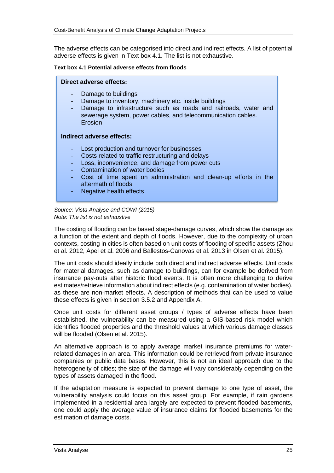The adverse effects can be categorised into direct and indirect effects. A list of potential adverse effects is given in Text box 4.1. The list is not exhaustive.

#### **Text box 4.1 Potential adverse effects from floods**

#### **Direct adverse effects:**

- Damage to buildings
- Damage to inventory, machinery etc. inside buildings
- Damage to infrastructure such as roads and railroads, water and sewerage system, power cables, and telecommunication cables.
- **Erosion**

#### **Indirect adverse effects:**

- Lost production and turnover for businesses
- Costs related to traffic restructuring and delays
- Loss, inconvenience, and damage from power cuts
- Contamination of water bodies
- Cost of time spent on administration and clean-up efforts in the aftermath of floods
- Negative health effects

*Source: Vista Analyse and COWI (2015) Note: The list is not exhaustive*

The costing of flooding can be based stage-damage curves, which show the damage as a function of the extent and depth of floods. However, due to the complexity of urban contexts, costing in cities is often based on unit costs of flooding of specific assets (Zhou et al. 2012, Apel et al. 2006 and Ballestos-Canovas et al. 2013 in Olsen et al. 2015).

The unit costs should ideally include both direct and indirect adverse effects. Unit costs for material damages, such as damage to buildings, can for example be derived from insurance pay-outs after historic flood events. It is often more challenging to derive estimates/retrieve information about indirect effects (e.g. contamination of water bodies). as these are non-market effects. A description of methods that can be used to value these effects is given in section [3.5.2](#page-16-0) and Appendix A.

Once unit costs for different asset groups / types of adverse effects have been established, the vulnerability can be measured using a GIS-based risk model which identifies flooded properties and the threshold values at which various damage classes will be flooded (Olsen et al. 2015).

An alternative approach is to apply average market insurance premiums for waterrelated damages in an area. This information could be retrieved from private insurance companies or public data bases. However, this is not an ideal approach due to the heterogeneity of cities; the size of the damage will vary considerably depending on the types of assets damaged in the flood.

If the adaptation measure is expected to prevent damage to one type of asset, the vulnerability analysis could focus on this asset group. For example, if rain gardens implemented in a residential area largely are expected to prevent flooded basements, one could apply the average value of insurance claims for flooded basements for the estimation of damage costs.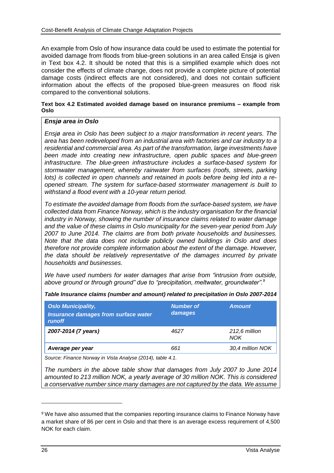An example from Oslo of how insurance data could be used to estimate the potential for avoided damage from floods from blue-green solutions in an area called Ensjø is given in Text box 4.2. It should be noted that this is a simplified example which does not consider the effects of climate change, does not provide a complete picture of potential damage costs (indirect effects are not considered), and does not contain sufficient information about the effects of the proposed blue-green measures on flood risk compared to the conventional solutions.

#### **Text box 4.2 Estimated avoided damage based on insurance premiums – example from Oslo**

#### *Ensjø area in Oslo*

*Ensjø area in Oslo has been subject to a major transformation in recent years. The area has been redeveloped from an industrial area with factories and car industry to a residential and commercial area. As part of the transformation, large investments have been made into creating new infrastructure, open public spaces and blue-green infrastructure. The blue-green infrastructure includes a surface-based system for stormwater management, whereby rainwater from surfaces (roofs, streets, parking lots) is collected in open channels and retained in pools before being led into a reopened stream. The system for surface-based stormwater management is built to withstand a flood event with a 10-year return period.* 

*To estimate the avoided damage from floods from the surface-based system, we have collected data from Finance Norway, which is the industry organisation for the financial industry in Norway, showing the number of insurance claims related to water damage and the value of these claims in Oslo municipality for the seven-year period from July 2007 to June 2014. The claims are from both private households and businesses. Note that the data does not include publicly owned buildings in Oslo and does therefore not provide complete information about the extent of the damage. However, the data should be relatively representative of the damages incurred by private households and businesses.*

*We have used numbers for water damages that arise from "intrusion from outside, above ground or through ground" due to "precipitation, meltwater, groundwater". 9*

| <b>Oslo Municipality,</b><br><b>Insurance damages from surface water</b><br><i>runoff</i> | <b>Number of</b><br>damages | <b>Amount</b>               |
|-------------------------------------------------------------------------------------------|-----------------------------|-----------------------------|
| 2007-2014 (7 years)                                                                       | 4627                        | 212.6 million<br><b>NOK</b> |
| Average per year                                                                          | 661                         | 30,4 million NOK            |

*Table Insurance claims (number and amount) related to precipitation in Oslo 2007-2014*

*Source: Finance Norway in Vista Analyse (2014), table 4.1.*

*The numbers in the above table show that damages from July 2007 to June 2014 amounted to 213 million NOK, a yearly average of 30 million NOK. This is considered a conservative number since many damages are not captured by the data. We assume* 

<sup>&</sup>lt;sup>9</sup> We have also assumed that the companies reporting insurance claims to Finance Norway have a market share of 86 per cent in Oslo and that there is an average excess requirement of 4,500 NOK for each claim.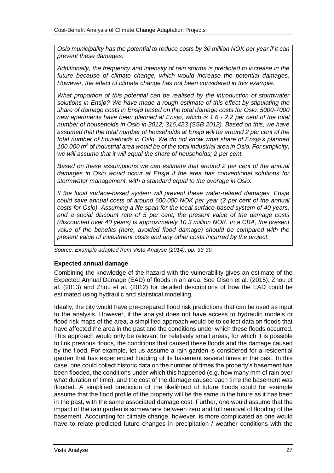*Oslo municipality has the potential to reduce costs by 30 million NOK per year if it can prevent these damages.* 

*Additionally, the frequency and intensity of rain storms is predicted to increase in the future because of climate change, which would increase the potential damages. However, the effect of climate change has not been considered in this example.* 

*What proportion of this potential can be realised by the introduction of stormwater solutions in Ensjø? We have made a rough estimate of this effect by stipulating the share of damage costs in Ensjø based on the total damage costs for Oslo. 5000-7000 new apartments have been planned at Ensjø, which is 1.6 - 2.2 per cent of the total number of households in Oslo in 2012; 316,423 (SSB 2012). Based on this, we have assumed that the total number of households at Ensjø will be around 2 per cent of the total number of households in Oslo. We do not know what share of Ensjø's planned 100,000 m<sup>2</sup> of industrial area would be of the total industrial area in Oslo. For simplicity, we will assume that it will equal the share of households; 2 per cent.* 

*Based on these assumptions we can estimate that around 2 per cent of the annual damages in Oslo would occur at Ensjø if the area has conventional solutions for stormwater management, with a standard equal to the average in Oslo.* 

*If the local surface-based system will prevent these water-related damages, Ensjø could save annual costs of around 600,000 NOK per year (2 per cent of the annual costs for Oslo). Assuming a life span for the local surface-based system of 40 years, and a social discount rate of 5 per cent, the present value of the damage costs (discounted over 40 years) is approximately 10.3 million NOK. In a CBA, the present value of the benefits (here, avoided flood damage) should be compared with the present value of investment costs and any other costs incurred by the project.*

*Source: Example adapted from Vista Analyse (2014), pp. 33-39.*

#### **Expected annual damage**

Combining the knowledge of the hazard with the vulnerability gives an estimate of the Expected Annual Damage (EAD) of floods in an area. See Olsen et al. (2015), Zhou et al. (2013) and Zhou et al. (2012) for detailed descriptions of how the EAD could be estimated using hydraulic and statistical modelling.

Ideally, the city would have pre-prepared flood risk predictions that can be used as input to the analysis. However, if the analyst does not have access to hydraulic models or flood risk maps of the area, a simplified approach would be to collect data on floods that have affected the area in the past and the conditions under which these floods occurred. This approach would only be relevant for relatively small areas, for which it is possible to link previous floods, the conditions that caused these floods and the damage caused by the flood. For example, let us assume a rain garden is considered for a residential garden that has experienced flooding of its basement several times in the past. In this case, one could collect historic data on the number of times the property's basement has been flooded, the conditions under which this happened (e.g. how many mm of rain over what duration of time), and the cost of the damage caused each time the basement was flooded. A simplified prediction of the likelihood of future floods could for example assume that the flood profile of the property will be the same in the future as it has been in the past, with the same associated damage cost. Further, one would assume that the impact of the rain garden is somewhere between zero and full removal of flooding of the basement. Accounting for climate change, however, is more complicated as one would have to relate predicted future changes in precipitation / weather conditions with the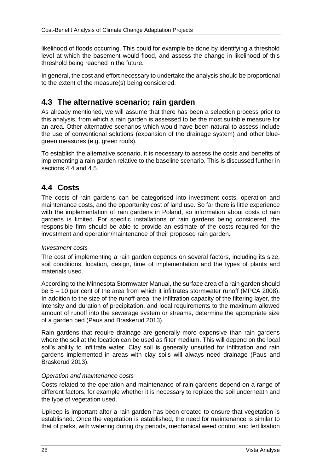likelihood of floods occurring. This could for example be done by identifying a threshold level at which the basement would flood, and assess the change in likelihood of this threshold being reached in the future.

In general, the cost and effort necessary to undertake the analysis should be proportional to the extent of the measure(s) being considered.

# **4.3 The alternative scenario; rain garden**

As already mentioned, we will assume that there has been a selection process prior to this analysis, from which a rain garden is assessed to be the most suitable measure for an area. Other alternative scenarios which would have been natural to assess include the use of conventional solutions (expansion of the drainage system) and other bluegreen measures (e.g. green roofs).

To establish the alternative scenario, it is necessary to assess the costs and benefits of implementing a rain garden relative to the baseline scenario. This is discussed further in sections [4.4](#page-29-0) and [4.5.](#page-30-0)

# <span id="page-29-0"></span>**4.4 Costs**

The costs of rain gardens can be categorised into investment costs, operation and maintenance costs, and the opportunity cost of land use. So far there is little experience with the implementation of rain gardens in Poland, so information about costs of rain gardens is limited. For specific installations of rain gardens being considered, the responsible firm should be able to provide an estimate of the costs required for the investment and operation/maintenance of their proposed rain garden.

### *Investment costs*

The cost of implementing a rain garden depends on several factors, including its size, soil conditions, location, design, time of implementation and the types of plants and materials used.

According to the Minnesota Stormwater Manual, the surface area of a rain garden should be 5 – 10 per cent of the area from which it infiltrates stormwater runoff (MPCA 2008). In addition to the size of the runoff-area, the infiltration capacity of the filtering layer, the intensity and duration of precipitation, and local requirements to the maximum allowed amount of runoff into the sewerage system or streams, determine the appropriate size of a garden bed (Paus and Braskerud 2013).

Rain gardens that require drainage are generally more expensive than rain gardens where the soil at the location can be used as filter medium. This will depend on the local soil's ability to infiltrate water. Clay soil is generally unsuited for infiltration and rain gardens implemented in areas with clay soils will always need drainage (Paus and Braskerud 2013).

### *Operation and maintenance costs*

Costs related to the operation and maintenance of rain gardens depend on a range of different factors, for example whether it is necessary to replace the soil underneath and the type of vegetation used.

Upkeep is important after a rain garden has been created to ensure that vegetation is established. Once the vegetation is established, the need for maintenance is similar to that of parks, with watering during dry periods, mechanical weed control and fertilisation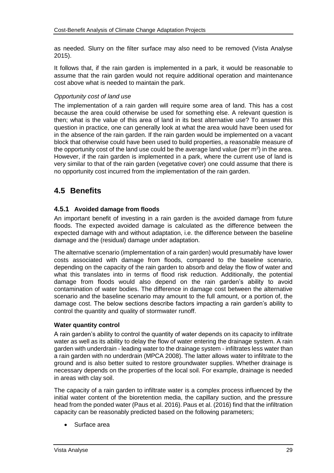as needed. Slurry on the filter surface may also need to be removed (Vista Analyse 2015).

It follows that, if the rain garden is implemented in a park, it would be reasonable to assume that the rain garden would not require additional operation and maintenance cost above what is needed to maintain the park.

#### *Opportunity cost of land use*

The implementation of a rain garden will require some area of land. This has a cost because the area could otherwise be used for something else. A relevant question is then; what is the value of this area of land in its best alternative use? To answer this question in practice, one can generally look at what the area would have been used for in the absence of the rain garden. If the rain garden would be implemented on a vacant block that otherwise could have been used to build properties, a reasonable measure of the opportunity cost of the land use could be the average land value (per  $m^2$ ) in the area. However, if the rain garden is implemented in a park, where the current use of land is very similar to that of the rain garden (vegetative cover) one could assume that there is no opportunity cost incurred from the implementation of the rain garden.

# <span id="page-30-0"></span>**4.5 Benefits**

### **4.5.1 Avoided damage from floods**

An important benefit of investing in a rain garden is the avoided damage from future floods. The expected avoided damage is calculated as the difference between the expected damage with and without adaptation, i.e. the difference between the baseline damage and the (residual) damage under adaptation.

The alternative scenario (implementation of a rain garden) would presumably have lower costs associated with damage from floods, compared to the baseline scenario, depending on the capacity of the rain garden to absorb and delay the flow of water and what this translates into in terms of flood risk reduction. Additionally, the potential damage from floods would also depend on the rain garden's ability to avoid contamination of water bodies. The difference in damage cost between the alternative scenario and the baseline scenario may amount to the full amount, or a portion of, the damage cost. The below sections describe factors impacting a rain garden's ability to control the quantity and quality of stormwater runoff.

#### **Water quantity control**

A rain garden's ability to control the quantity of water depends on its capacity to infiltrate water as well as its ability to delay the flow of water entering the drainage system. A rain garden with underdrain - leading water to the drainage system - infiltrates less water than a rain garden with no underdrain (MPCA 2008). The latter allows water to infiltrate to the ground and is also better suited to restore groundwater supplies. Whether drainage is necessary depends on the properties of the local soil. For example, drainage is needed in areas with clay soil.

The capacity of a rain garden to infiltrate water is a complex process influenced by the initial water content of the bioretention media, the capillary suction, and the pressure head from the ponded water (Paus et al. 2016). Paus et al. (2016) find that the infiltration capacity can be reasonably predicted based on the following parameters;

Surface area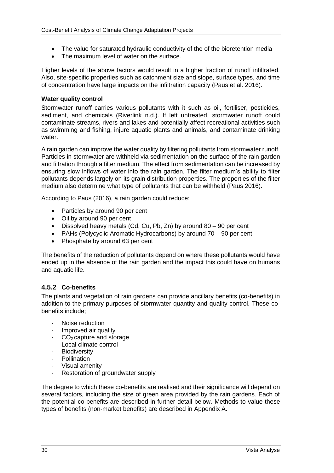- The value for saturated hydraulic conductivity of the of the bioretention media
- The maximum level of water on the surface.

Higher levels of the above factors would result in a higher fraction of runoff infiltrated. Also, site-specific properties such as catchment size and slope, surface types, and time of concentration have large impacts on the infiltration capacity (Paus et al. 2016).

### **Water quality control**

Stormwater runoff carries various pollutants with it such as oil, fertiliser, pesticides, sediment, and chemicals (Riverlink n.d.). If left untreated, stormwater runoff could contaminate streams, rivers and lakes and potentially affect recreational activities such as swimming and fishing, injure aquatic plants and animals, and contaminate drinking water.

A rain garden can improve the water quality by filtering pollutants from stormwater runoff. Particles in stormwater are withheld via sedimentation on the surface of the rain garden and filtration through a filter medium. The effect from sedimentation can be increased by ensuring slow inflows of water into the rain garden. The filter medium's ability to filter pollutants depends largely on its grain distribution properties. The properties of the filter medium also determine what type of pollutants that can be withheld (Paus 2016).

According to Paus (2016), a rain garden could reduce:

- Particles by around 90 per cent
- Oil by around 90 per cent
- Dissolved heavy metals (Cd, Cu, Pb, Zn) by around 80 90 per cent
- PAHs (Polycyclic Aromatic Hydrocarbons) by around 70 90 per cent
- Phosphate by around 63 per cent

The benefits of the reduction of pollutants depend on where these pollutants would have ended up in the absence of the rain garden and the impact this could have on humans and aquatic life.

### **4.5.2 Co-benefits**

The plants and vegetation of rain gardens can provide ancillary benefits (co-benefits) in addition to the primary purposes of stormwater quantity and quality control. These cobenefits include;

- Noise reduction
- Improved air quality
- $CO<sub>2</sub>$  capture and storage
- Local climate control
- **Biodiversity**
- Pollination
- Visual amenity
- Restoration of groundwater supply

The degree to which these co-benefits are realised and their significance will depend on several factors, including the size of green area provided by the rain gardens. Each of the potential co-benefits are described in further detail below. Methods to value these types of benefits (non-market benefits) are described in Appendix A.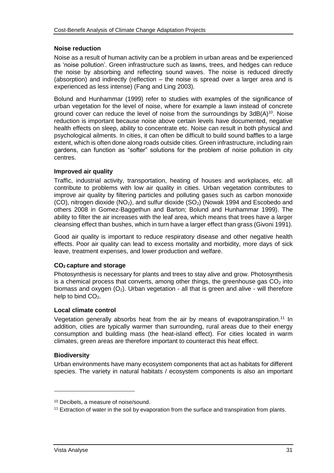#### **Noise reduction**

Noise as a result of human activity can be a problem in urban areas and be experienced as 'noise pollution'. Green infrastructure such as lawns, trees, and hedges can reduce the noise by absorbing and reflecting sound waves. The noise is reduced directly (absorption) and indirectly (reflection – the noise is spread over a larger area and is experienced as less intense) (Fang and Ling 2003).

Bolund and Hunhammar (1999) refer to studies with examples of the significance of urban vegetation for the level of noise, where for example a lawn instead of concrete ground cover can reduce the level of noise from the surroundings by  $3dB(A)^{10}$ . Noise reduction is important because noise above certain levels have documented, negative health effects on sleep, ability to concentrate etc. Noise can result in both physical and psychological ailments. In cities, it can often be difficult to build sound baffles to a large extent, which is often done along roads outside cities. Green infrastructure, including rain gardens, can function as "softer" solutions for the problem of noise pollution in city centres.

#### **Improved air quality**

Traffic, industrial activity, transportation, heating of houses and workplaces, etc. all contribute to problems with low air quality in cities. Urban vegetation contributes to improve air quality by filtering particles and polluting gases such as carbon monoxide (CO), nitrogen dioxide ( $NO<sub>2</sub>$ ), and sulfur dioxide ( $SO<sub>2</sub>$ ) (Nowak 1994 and Escobedo and others 2008 in Gomez-Baggethun and Barton; Bolund and Hunhammar 1999). The ability to filter the air increases with the leaf area, which means that trees have a larger cleansing effect than bushes, which in turn have a larger effect than grass (Givoni 1991).

Good air quality is important to reduce respiratory disease and other negative health effects. Poor air quality can lead to excess mortality and morbidity, more days of sick leave, treatment expenses, and lower production and welfare.

### **CO<sup>2</sup> capture and storage**

Photosynthesis is necessary for plants and trees to stay alive and grow. Photosynthesis is a chemical process that converts, among other things, the greenhouse gas  $CO<sub>2</sub>$  into biomass and oxygen  $(O_2)$ . Urban vegetation - all that is green and alive - will therefore help to bind  $CO<sub>2</sub>$ .

#### **Local climate control**

Vegetation generally absorbs heat from the air by means of evapotranspiration.<sup>11</sup> In addition, cities are typically warmer than surrounding, rural areas due to their energy consumption and building mass (the heat-island effect). For cities located in warm climates, green areas are therefore important to counteract this heat effect.

#### **Biodiversity**

Urban environments have many ecosystem components that act as habitats for different species. The variety in natural habitats / ecosystem components is also an important

<sup>10</sup> Decibels, a measure of noise/sound.

<sup>&</sup>lt;sup>11</sup> Extraction of water in the soil by evaporation from the surface and transpiration from plants.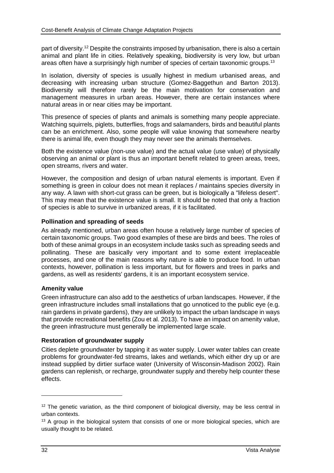part of diversity.<sup>12</sup> Despite the constraints imposed by urbanisation, there is also a certain animal and plant life in cities. Relatively speaking, biodiversity is very low, but urban areas often have a surprisingly high number of species of certain taxonomic groups.<sup>13</sup>

In isolation, diversity of species is usually highest in medium urbanised areas, and decreasing with increasing urban structure (Gomez-Baggethun and Barton 2013). Biodiversity will therefore rarely be the main motivation for conservation and management measures in urban areas. However, there are certain instances where natural areas in or near cities may be important.

This presence of species of plants and animals is something many people appreciate. Watching squirrels, piglets, butterflies, frogs and salamanders, birds and beautiful plants can be an enrichment. Also, some people will value knowing that somewhere nearby there is animal life, even though they may never see the animals themselves.

Both the existence value (non-use value) and the actual value (use value) of physically observing an animal or plant is thus an important benefit related to green areas, trees, open streams, rivers and water.

However, the composition and design of urban natural elements is important. Even if something is green in colour does not mean it replaces / maintains species diversity in any way. A lawn with short-cut grass can be green, but is biologically a "lifeless desert". This may mean that the existence value is small. It should be noted that only a fraction of species is able to survive in urbanized areas, if it is facilitated.

#### **Pollination and spreading of seeds**

As already mentioned, urban areas often house a relatively large number of species of certain taxonomic groups. Two good examples of these are birds and bees. The roles of both of these animal groups in an ecosystem include tasks such as spreading seeds and pollinating. These are basically very important and to some extent irreplaceable processes, and one of the main reasons why nature is able to produce food. In urban contexts, however, pollination is less important, but for flowers and trees in parks and gardens, as well as residents' gardens, it is an important ecosystem service.

#### **Amenity value**

Green infrastructure can also add to the aesthetics of urban landscapes. However, if the green infrastructure includes small installations that go unnoticed to the public eye (e.g. rain gardens in private gardens), they are unlikely to impact the urban landscape in ways that provide recreational benefits (Zou et al. 2013). To have an impact on amenity value, the green infrastructure must generally be implemented large scale.

#### **Restoration of groundwater supply**

Cities deplete groundwater by tapping it as water supply. Lower water tables can create problems for groundwater-fed streams, lakes and wetlands, which either dry up or are instead supplied by dirtier surface water (University of Wisconsin-Madison 2002). Rain gardens can replenish, or recharge, groundwater supply and thereby help counter these effects.

 $12$  The genetic variation, as the third component of biological diversity, may be less central in urban contexts.

<sup>&</sup>lt;sup>13</sup> A group in the biological system that consists of one or more biological species, which are usually thought to be related.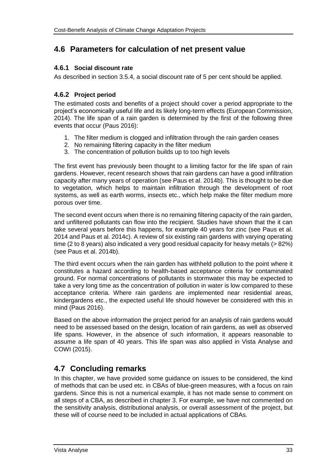# **4.6 Parameters for calculation of net present value**

## **4.6.1 Social discount rate**

As described in section [3.5.4,](#page-18-1) a social discount rate of 5 per cent should be applied.

## **4.6.2 Project period**

The estimated costs and benefits of a project should cover a period appropriate to the project's economically useful life and its likely long-term effects (European Commission, 2014). The life span of a rain garden is determined by the first of the following three events that occur (Paus 2016):

- 1. The filter medium is clogged and infiltration through the rain garden ceases
- 2. No remaining filtering capacity in the filter medium
- 3. The concentration of pollution builds up to too high levels

The first event has previously been thought to a limiting factor for the life span of rain gardens. However, recent research shows that rain gardens can have a good infiltration capacity after many years of operation (see Paus et al. 2014b). This is thought to be due to vegetation, which helps to maintain infiltration through the development of root systems, as well as earth worms, insects etc., which help make the filter medium more porous over time.

The second event occurs when there is no remaining filtering capacity of the rain garden, and unfiltered pollutants can flow into the recipient. Studies have shown that the it can take several years before this happens, for example 40 years for zinc (see Paus et al. 2014 and Paus et al. 2014c). A review of six existing rain gardens with varying operating time (2 to 8 years) also indicated a very good residual capacity for heavy metals (> 82%) (see Paus et al. 2014b).

The third event occurs when the rain garden has withheld pollution to the point where it constitutes a hazard according to health-based acceptance criteria for contaminated ground. For normal concentrations of pollutants in stormwater this may be expected to take a very long time as the concentration of pollution in water is low compared to these acceptance criteria. Where rain gardens are implemented near residential areas, kindergardens etc., the expected useful life should however be considered with this in mind (Paus 2016).

Based on the above information the project period for an analysis of rain gardens would need to be assessed based on the design, location of rain gardens, as well as observed life spans. However, in the absence of such information, it appears reasonable to assume a life span of 40 years. This life span was also applied in Vista Analyse and COWI (2015).

# **4.7 Concluding remarks**

In this chapter, we have provided some guidance on issues to be considered, the kind of methods that can be used etc. in CBAs of blue-green measures, with a focus on rain gardens. Since this is not a numerical example, it has not made sense to comment on all steps of a CBA, as described in chapter [3.](#page-10-0) For example, we have not commented on the sensitivity analysis, distributional analysis, or overall assessment of the project, but these will of course need to be included in actual applications of CBAs.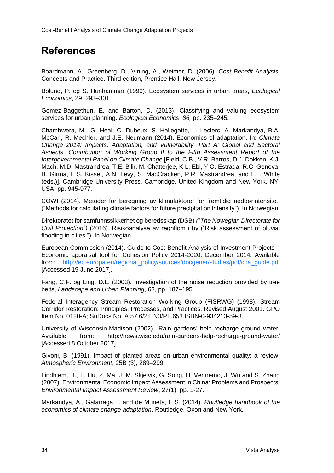# **References**

Boardmann, A., Greenberg, D., Vining, A., Weimer, D. (2006). *Cost Benefit Analysis*. Concepts and Practice. Third edition, Prentice Hall, New Jersey.

Bolund, P. og S. Hunhammar (1999). Ecosystem services in urban areas, *Ecological Economics*, 29, 293–301.

Gomez-Baggethun, E. and Barton, D. (2013). Classifying and valuing ecosystem services for urban planning. *Ecological Economics*, *86,* pp. 235–245.

Chambwera, M., G. Heal, C. Dubeux, S. Hallegatte, L. Leclerc, A. Markandya, B.A. McCarl, R. Mechler, and J.E. Neumann (2014). Economics of adaptation. In: *Climate Change 2014: Impacts, Adaptation, and Vulnerability. Part A: Global and Sectoral Aspects. Contribution of Working Group II to the Fifth Assessment Report of the Intergovernmental Panel on Climate Change* [Field, C.B., V.R. Barros, D.J. Dokken, K.J. Mach, M.D. Mastrandrea, T.E. Bilir, M. Chatterjee, K.L. Ebi, Y.O. Estrada, R.C. Genova, B. Girma, E.S. Kissel, A.N. Levy, S. MacCracken, P.R. Mastrandrea, and L.L. White (eds.)]. Cambridge University Press, Cambridge, United Kingdom and New York, NY, USA, pp. 945-977.

COWI (2014). Metoder for beregning av klimafaktorer for fremtidig nedbørintensitet. ("Methods for calculating climate factors for future precipitation intensity"). In Norwegian.

Direktoratet for samfunnssikkerhet og beredsskap (DSB) *(*"*The Nowegian Directorate for Civil Protection*"*)* (2016). Risikoanalyse av regnflom i by ("Risk assessment of pluvial flooding in cities."). In Norwegian.

European Commission (2014). Guide to Cost-Benefit Analysis of Investment Projects – Economic appraisal tool for Cohesion Policy 2014-2020. December 2014. Available from: [http://ec.europa.eu/regional\\_policy/sources/docgener/studies/pdf/cba\\_guide.pdf](http://ec.europa.eu/regional_policy/sources/docgener/studies/pdf/cba_guide.pdf) [Accessed 19 June 2017].

Fang, C.F. og Ling, D.L. (2003). Investigation of the noise reduction provided by tree belts, *Landscape and Urban Planning*, 63, pp. 187–195.

Federal Interagency Stream Restoration Working Group (FISRWG) (1998). Stream Corridor Restoration: Principles, Processes, and Practices. Revised August 2001. GPO Item No. 0120-A; SuDocs No. A 57.6/2:EN3/PT.653.ISBN-0-934213-59-3.

University of Wisconsin-Madison (2002). 'Rain gardens' help recharge ground water. Available from: http://news.wisc.edu/rain-gardens-help-recharge-ground-water/ [Accessed 8 October 2017].

Givoni, B. (1991). Impact of planted areas on urban environmental quality: a review, *Atmospheric Environment*, 25B (3), 289–299.

Lindhjem, H., T. Hu, Z. Ma, J. M. Skjelvik, G. Song, H. Vennemo, J. Wu and S. Zhang (2007). Environmental Economic Impact Assessment in China: Problems and Prospects. *Environmental Impact Assessment Review*, 27(1), pp. 1-27.

Markandya, A., Galarraga, I. and de Murieta, E.S. (2014). *Routledge handbook of the economics of climate change adaptation*. Routledge, Oxon and New York.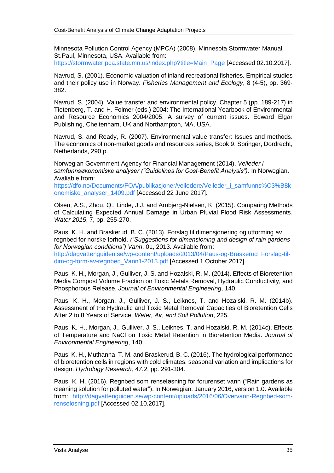Minnesota Pollution Control Agency (MPCA) (2008). Minnesota Stormwater Manual. St.Paul, Minnesota, USA. Available from:

[https://stormwater.pca.state.mn.us/index.php?title=Main\\_Page](https://stormwater.pca.state.mn.us/index.php?title=Main_Page) [Accessed 02.10.2017].

Navrud, S. (2001). Economic valuation of inland recreational fisheries. Empirical studies and their policy use in Norway. *Fisheries Management and Ecology*, 8 (4-5), pp. 369- 382.

Navrud, S. (2004). Value transfer and environmental policy. Chapter 5 (pp. 189-217) in Tietenberg, T. and H. Folmer (eds.) 2004: The International Yearbook of Environmental and Resource Economics 2004/2005. A survey of current issues. Edward Elgar Publishing, Cheltenham, UK and Northampton, MA, USA.

Navrud, S. and Ready, R. (2007). Environmental value transfer: Issues and methods. The economics of non-market goods and resources series, Book 9, Springer, Dordrecht, Netherlands, 290 p.

Norwegian Government Agency for Financial Management (2014). *Veileder i*  samfunnsøkonomiske analyser ("Guidelines for Cost-Benefit Analysis"). In Norwegian. Avaliable from:

[https://dfo.no/Documents/FOA/publikasjoner/veiledere/Veileder\\_i\\_samfunns%C3%B8k](https://dfo.no/Documents/FOA/publikasjoner/veiledere/Veileder_i_samfunns%C3%B8konomiske_analyser_1409.pdf) [onomiske\\_analyser\\_1409.pdf](https://dfo.no/Documents/FOA/publikasjoner/veiledere/Veileder_i_samfunns%C3%B8konomiske_analyser_1409.pdf) [Accessed 22 June 2017].

Olsen, A.S., Zhou, Q., Linde, J.J. and Arnbjerg-Nielsen, K. (2015). Comparing Methods of Calculating Expected Annual Damage in Urban Pluvial Flood Risk Assessments. *Water 2015*, 7, pp. 255-270.

Paus, K. H. and Braskerud, B. C. (2013). Forslag til dimensjonering og utforming av regnbed for norske forhold. *("Suggestions for dimensioning and design of rain gardens for Norwegian conditions") Vann*, 01, 2013. Available from: [http://dagvattenguiden.se/wp-content/uploads/2013/04/Paus-og-Braskerud\\_Forslag-til](http://dagvattenguiden.se/wp-content/uploads/2013/04/Paus-og-Braskerud_Forslag-til-dim-og-form-av-regnbed_Vann1-2013.pdf)[dim-og-form-av-regnbed\\_Vann1-2013.pdf](http://dagvattenguiden.se/wp-content/uploads/2013/04/Paus-og-Braskerud_Forslag-til-dim-og-form-av-regnbed_Vann1-2013.pdf) [Accessed 1 October 2017].

Paus, K. H., Morgan, J., Gulliver, J. S. and Hozalski, R. M. (2014). Effects of Bioretention Media Compost Volume Fraction on Toxic Metals Removal, Hydraulic Conductivity, and Phosphorous Release. *Journal of Environmental Engineering*, 140.

Paus, K. H., Morgan, J., Gulliver, J. S., Leiknes, T. and Hozalski, R. M. (2014b). Assessment of the Hydraulic and Toxic Metal Removal Capacities of Bioretention Cells After 2 to 8 Years of Service. *Water, Air, and Soil Pollution*, 225.

Paus, K. H., Morgan, J., Gulliver, J. S., Leiknes, T. and Hozalski, R. M. (2014c). Effects of Temperature and NaCl on Toxic Metal Retention in Bioretention Media. *Journal of Environmental Engineering*, 140.

Paus, K. H., Muthanna, T. M. and Braskerud, B. C. (2016). The hydrological performance of bioretention cells in regions with cold climates: seasonal variation and implications for design. *Hydrology Research, 47.2*, pp. 291-304.

Paus, K. H. (2016). Regnbed som renseløsning for forurenset vann ("Rain gardens as cleaning solution for polluted water"). In Norwegian. January 2016, version 1.0. Available from: [http://dagvattenguiden.se/wp-content/uploads/2016/06/Overvann-Regnbed-som](http://dagvattenguiden.se/wp-content/uploads/2016/06/Overvann-Regnbed-som-renselosning.pdf)[renselosning.pdf](http://dagvattenguiden.se/wp-content/uploads/2016/06/Overvann-Regnbed-som-renselosning.pdf) [Accessed 02.10.2017].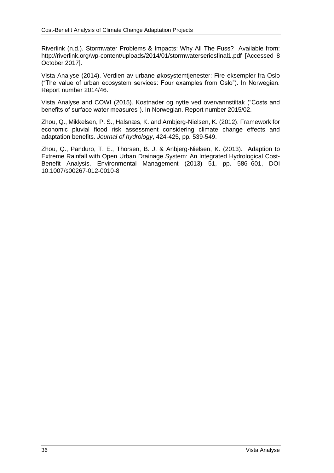Riverlink (n.d.). Stormwater Problems & Impacts: Why All The Fuss? Available from: <http://riverlink.org/wp-content/uploads/2014/01/stormwaterseriesfinal1.pdf> [Accessed 8 October 2017].

Vista Analyse (2014). Verdien av urbane økosystemtjenester: Fire eksempler fra Oslo ("The value of urban ecosystem services: Four examples from Oslo"). In Norwegian. Report number 2014/46.

Vista Analyse and COWI (2015). Kostnader og nytte ved overvannstiltak ("Costs and benefits of surface water measures"). In Norwegian. Report number 2015/02.

Zhou, Q., Mikkelsen, P. S., Halsnæs, K. and Arnbjerg-Nielsen, K. (2012). Framework for economic pluvial flood risk assessment considering climate change effects and adaptation benefits. *Journal of hydrology*, 424-425, pp. 539-549.

Zhou, Q., Panduro, T. E., Thorsen, B. J. & Anbjerg-Nielsen, K. (2013). Adaption to Extreme Rainfall with Open Urban Drainage System: An Integrated Hydrological Cost-Benefit Analysis. Environmental Management (2013) 51, pp. 586–601, DOI 10.1007/s00267-012-0010-8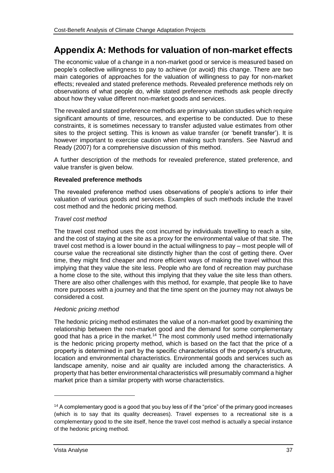# **Appendix A: Methods for valuation of non-market effects**

The economic value of a change in a non-market good or service is measured based on people's collective willingness to pay to achieve (or avoid) this change. There are two main categories of approaches for the valuation of willingness to pay for non-market effects; revealed and stated preference methods. Revealed preference methods rely on observations of what people do, while stated preference methods ask people directly about how they value different non-market goods and services.

The revealed and stated preference methods are primary valuation studies which require significant amounts of time, resources, and expertise to be conducted. Due to these constraints, it is sometimes necessary to transfer adjusted value estimates from other sites to the project setting. This is known as value transfer (or 'benefit transfer'). It is however important to exercise caution when making such transfers. See Navrud and Ready (2007) for a comprehensive discussion of this method.

A further description of the methods for revealed preference, stated preference, and value transfer is given below.

#### **Revealed preference methods**

The revealed preference method uses observations of people's actions to infer their valuation of various goods and services. Examples of such methods include the travel cost method and the hedonic pricing method.

#### *Travel cost method*

The travel cost method uses the cost incurred by individuals travelling to reach a site, and the cost of staying at the site as a proxy for the environmental value of that site. The travel cost method is a lower bound in the actual willingness to pay – most people will of course value the recreational site distinctly higher than the cost of getting there. Over time, they might find cheaper and more efficient ways of making the travel without this implying that they value the site less. People who are fond of recreation may purchase a home close to the site, without this implying that they value the site less than others. There are also other challenges with this method, for example, that people like to have more purposes with a journey and that the time spent on the journey may not always be considered a cost.

### *Hedonic pricing method*

The hedonic pricing method estimates the value of a non-market good by examining the relationship between the non-market good and the demand for some complementary good that has a price in the market.<sup>14</sup> The most commonly used method internationally is the hedonic pricing property method, which is based on the fact that the price of a property is determined in part by the specific characteristics of the property's structure, location and environmental characteristics. Environmental goods and services such as landscape amenity, noise and air quality are included among the characteristics. A property that has better environmental characteristics will presumably command a higher market price than a similar property with worse characteristics.

<sup>&</sup>lt;sup>14</sup> A complementary good is a good that you buy less of if the "price" of the primary good increases (which is to say that its quality decreases). Travel expenses to a recreational site is a complementary good to the site itself, hence the travel cost method is actually a special instance of the hedonic pricing method.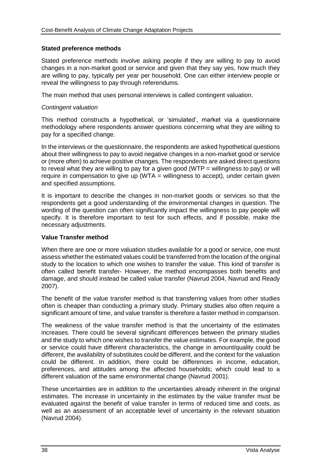#### **Stated preference methods**

Stated preference methods involve asking people if they are willing to pay to avoid changes in a non-market good or service and given that they say yes, how much they are willing to pay, typically per year per household. One can either interview people or reveal the willingness to pay through referendums.

The main method that uses personal interviews is called contingent valuation.

#### *Contingent valuation*

This method constructs a hypothetical, or 'simulated', market via a questionnaire methodology where respondents answer questions concerning what they are willing to pay for a specified change.

In the interviews or the questionnaire, the respondents are asked hypothetical questions about their willingness to pay to avoid negative changes in a non-market good or service or (more often) to achieve positive changes. The respondents are asked direct questions to reveal what they are willing to pay for a given good (WTP  $=$  willingness to pay) or will require in compensation to give up (WTA = willingness to accept), under certain given and specified assumptions.

It is important to describe the changes in non-market goods or services so that the respondents get a good understanding of the environmental changes in question. The wording of the question can often significantly impact the willingness to pay people will specify. It is therefore important to test for such effects, and if possible, make the necessary adjustments.

#### **Value Transfer method**

When there are one or more valuation studies available for a good or service, one must assess whether the estimated values could be transferred from the location of the original study to the location to which one wishes to transfer the value. This kind of transfer is often called benefit transfer- However, the method encompasses both benefits and damage, and should instead be called value transfer (Navrud 2004, Navrud and Ready 2007).

The benefit of the value transfer method is that transferring values from other studies often is cheaper than conducting a primary study. Primary studies also often require a significant amount of time, and value transfer is therefore a faster method in comparison.

The weakness of the value transfer method is that the uncertainty of the estimates increases. There could be several significant differences between the primary studies and the study to which one wishes to transfer the value estimates. For example, the good or service could have different characteristics, the change in amount/quality could be different, the availability of substitutes could be different, and the context for the valuation could be different. In addition, there could be differences in income, education, preferences, and attitudes among the affected households; which could lead to a different valuation of the same environmental change (Navrud 2001).

These uncertainties are in addition to the uncertainties already inherent in the original estimates. The increase in uncertainty in the estimates by the value transfer must be evaluated against the benefit of value transfer in terms of reduced time and costs, as well as an assessment of an acceptable level of uncertainty in the relevant situation (Navrud 2004).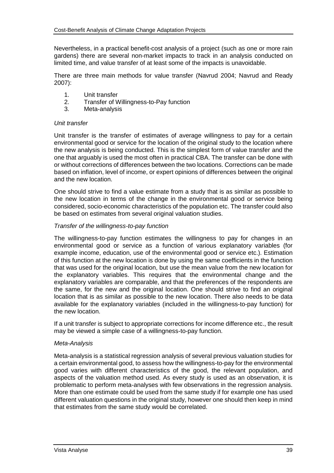Nevertheless, in a practical benefit-cost analysis of a project (such as one or more rain gardens) there are several non-market impacts to track in an analysis conducted on limited time, and value transfer of at least some of the impacts is unavoidable.

There are three main methods for value transfer (Navrud 2004; Navrud and Ready 2007):

- 1. Unit transfer<br>2. Transfer of V
- 2. Transfer of Willingness-to-Pay function<br>3. Meta-analysis
- Meta-analysis

#### *Unit transfer*

Unit transfer is the transfer of estimates of average willingness to pay for a certain environmental good or service for the location of the original study to the location where the new analysis is being conducted. This is the simplest form of value transfer and the one that arguably is used the most often in practical CBA. The transfer can be done with or without corrections of differences between the two locations. Corrections can be made based on inflation, level of income, or expert opinions of differences between the original and the new location.

One should strive to find a value estimate from a study that is as similar as possible to the new location in terms of the change in the environmental good or service being considered, socio-economic characteristics of the population etc. The transfer could also be based on estimates from several original valuation studies.

#### *Transfer of the willingness-to-pay function*

The willingness-to-pay function estimates the willingness to pay for changes in an environmental good or service as a function of various explanatory variables (for example income, education, use of the environmental good or service etc.). Estimation of this function at the new location is done by using the same coefficients in the function that was used for the original location, but use the mean value from the new location for the explanatory variables. This requires that the environmental change and the explanatory variables are comparable, and that the preferences of the respondents are the same, for the new and the original location. One should strive to find an original location that is as similar as possible to the new location. There also needs to be data available for the explanatory variables (included in the willingness-to-pay function) for the new location.

If a unit transfer is subject to appropriate corrections for income difference etc., the result may be viewed a simple case of a willingness-to-pay function.

#### *Meta-Analysis*

Meta-analysis is a statistical regression analysis of several previous valuation studies for a certain environmental good, to assess how the willingness-to-pay for the environmental good varies with different characteristics of the good, the relevant population, and aspects of the valuation method used. As every study is used as an observation, it is problematic to perform meta-analyses with few observations in the regression analysis. More than one estimate could be used from the same study if for example one has used different valuation questions in the original study, however one should then keep in mind that estimates from the same study would be correlated.